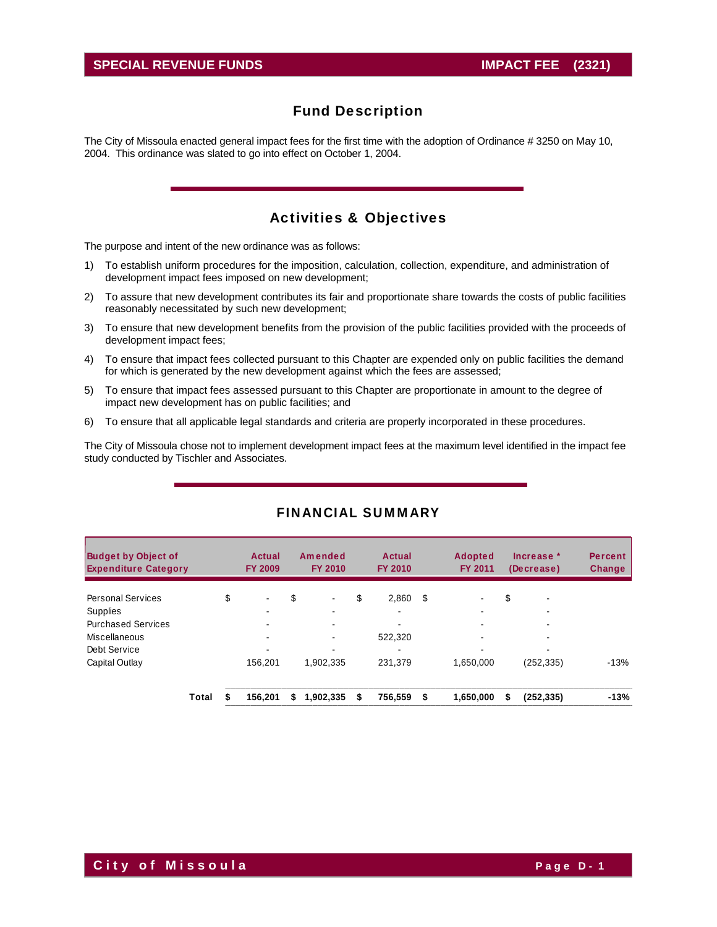The City of Missoula enacted general impact fees for the first time with the adoption of Ordinance # 3250 on May 10, 2004. This ordinance was slated to go into effect on October 1, 2004.

# Activities & Objectives

The purpose and intent of the new ordinance was as follows:

- 1) To establish uniform procedures for the imposition, calculation, collection, expenditure, and administration of development impact fees imposed on new development;
- 2) To assure that new development contributes its fair and proportionate share towards the costs of public facilities reasonably necessitated by such new development;
- 3) To ensure that new development benefits from the provision of the public facilities provided with the proceeds of development impact fees;
- 4) To ensure that impact fees collected pursuant to this Chapter are expended only on public facilities the demand for which is generated by the new development against which the fees are assessed;
- 5) To ensure that impact fees assessed pursuant to this Chapter are proportionate in amount to the degree of impact new development has on public facilities; and
- 6) To ensure that all applicable legal standards and criteria are properly incorporated in these procedures.

The City of Missoula chose not to implement development impact fees at the maximum level identified in the impact fee study conducted by Tischler and Associates.

| <b>Budget by Object of</b><br><b>Expenditure Category</b> |       | Actual<br><b>FY 2009</b> |    | Amended<br><b>FY 2010</b> |    | <b>Actual</b><br><b>FY 2010</b> |     | <b>Adopted</b><br><b>FY 2011</b> |    | Increase *<br>(Decrease) | <b>Percent</b><br><b>Change</b> |
|-----------------------------------------------------------|-------|--------------------------|----|---------------------------|----|---------------------------------|-----|----------------------------------|----|--------------------------|---------------------------------|
| <b>Personal Services</b>                                  |       | \$<br>$\,$               | \$ | $\blacksquare$            | \$ | 2.860                           | -\$ |                                  | \$ | ٠                        |                                 |
| Supplies                                                  |       |                          |    |                           |    | $\overline{\phantom{0}}$        |     |                                  |    |                          |                                 |
| <b>Purchased Services</b>                                 |       |                          |    |                           |    |                                 |     |                                  |    |                          |                                 |
| Miscellaneous                                             |       | $\blacksquare$           |    | $\overline{\phantom{a}}$  |    | 522,320                         |     | -                                |    | -                        |                                 |
| Debt Service                                              |       |                          |    |                           |    |                                 |     |                                  |    |                          |                                 |
| Capital Outlay                                            |       | 156.201                  |    | 1.902.335                 |    | 231.379                         |     | 1.650.000                        |    | (252,335)                | $-13%$                          |
|                                                           | Total | 156.201                  | S  | 1,902,335                 | S  | 756,559                         | \$  | 1,650,000                        | S  | (252, 335)               | $-13%$                          |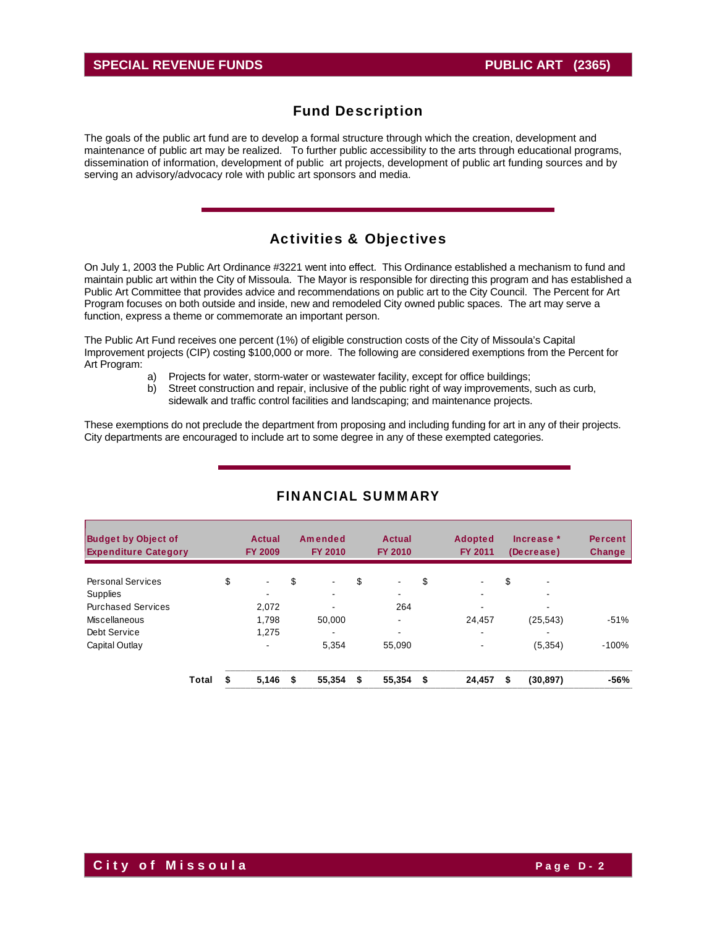### **SPECIAL REVENUE FUNDS PUBLIC ART (2365)**

### Fund Description

The goals of the public art fund are to develop a formal structure through which the creation, development and maintenance of public art may be realized. To further public accessibility to the arts through educational programs, dissemination of information, development of public art projects, development of public art funding sources and by serving an advisory/advocacy role with public art sponsors and media.

### Activities & Objectives

On July 1, 2003 the Public Art Ordinance #3221 went into effect. This Ordinance established a mechanism to fund and maintain public art within the City of Missoula. The Mayor is responsible for directing this program and has established a Public Art Committee that provides advice and recommendations on public art to the City Council. The Percent for Art Program focuses on both outside and inside, new and remodeled City owned public spaces. The art may serve a function, express a theme or commemorate an important person.

The Public Art Fund receives one percent (1%) of eligible construction costs of the City of Missoula's Capital Improvement projects (CIP) costing \$100,000 or more. The following are considered exemptions from the Percent for Art Program:

- a) Projects for water, storm-water or wastewater facility, except for office buildings;
- b) Street construction and repair, inclusive of the public right of way improvements, such as curb, sidewalk and traffic control facilities and landscaping; and maintenance projects.

These exemptions do not preclude the department from proposing and including funding for art in any of their projects. City departments are encouraged to include art to some degree in any of these exempted categories.

| <b>Budget by Object of</b><br><b>Expenditure Category</b> |       | Actual<br><b>FY 2009</b> |    | Amended<br><b>FY 2010</b> |    | Actual<br><b>FY 2010</b> |    | <b>Adopted</b><br><b>FY 2011</b> |    | Increase *<br>(Decrease) | <b>Percent</b><br><b>Change</b> |
|-----------------------------------------------------------|-------|--------------------------|----|---------------------------|----|--------------------------|----|----------------------------------|----|--------------------------|---------------------------------|
| <b>Personal Services</b>                                  |       | \$<br>$\sim$             | \$ | $\blacksquare$            | \$ | $\blacksquare$           | \$ | $\blacksquare$                   | \$ | $\overline{\phantom{0}}$ |                                 |
| Supplies                                                  |       | $\overline{\phantom{0}}$ |    |                           |    | -                        |    |                                  |    |                          |                                 |
| <b>Purchased Services</b>                                 |       | 2.072                    |    |                           |    | 264                      |    |                                  |    |                          |                                 |
| Miscellaneous                                             |       | 1,798                    |    | 50.000                    |    | $\overline{\phantom{0}}$ |    | 24.457                           |    | (25, 543)                | $-51%$                          |
| Debt Service                                              |       | 1,275                    |    |                           |    |                          |    | -                                |    |                          |                                 |
| Capital Outlay                                            |       | $\overline{\phantom{a}}$ |    | 5,354                     |    | 55.090                   |    | $\blacksquare$                   |    | (5, 354)                 | $-100%$                         |
|                                                           | Total | 5,146                    | £. | 55,354                    | S  | 55,354                   | £. | 24,457                           | S  | (30, 897)                | -56%                            |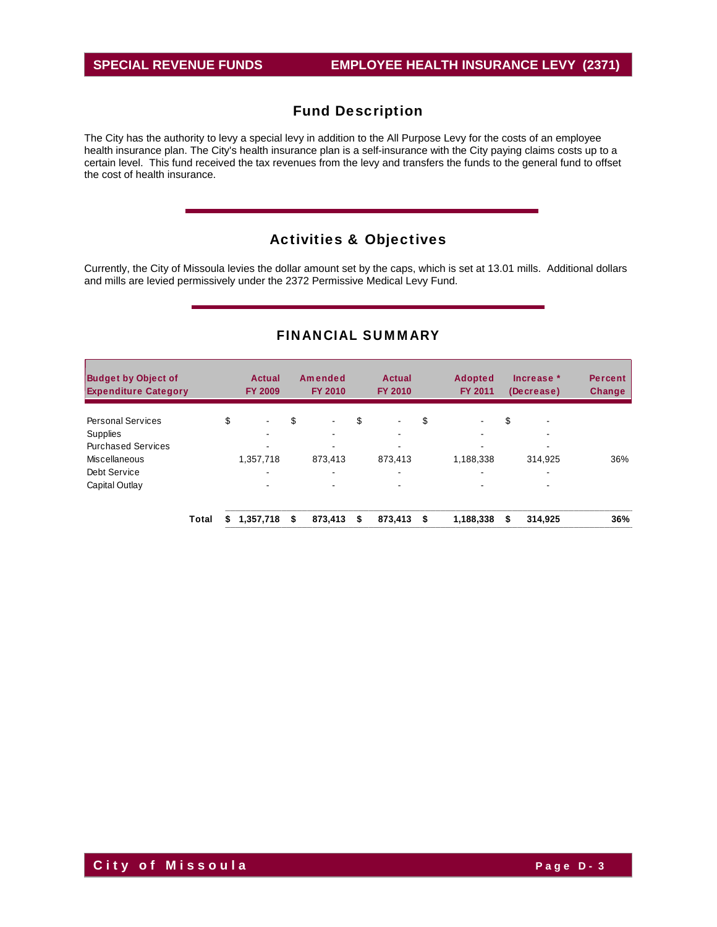The City has the authority to levy a special levy in addition to the All Purpose Levy for the costs of an employee health insurance plan. The City's health insurance plan is a self-insurance with the City paying claims costs up to a certain level. This fund received the tax revenues from the levy and transfers the funds to the general fund to offset the cost of health insurance.

# Activities & Objectives

Currently, the City of Missoula levies the dollar amount set by the caps, which is set at 13.01 mills. Additional dollars and mills are levied permissively under the 2372 Permissive Medical Levy Fund.

| <b>Budget by Object of</b><br><b>Expenditure Category</b> |       |    | Actual<br><b>FY 2009</b> | Amended<br><b>FY 2010</b> | Actual<br>FY 2010    | <b>Adopted</b><br><b>FY 2011</b> |    | Increase *<br>(Decrease) | <b>Percent</b><br><b>Change</b> |
|-----------------------------------------------------------|-------|----|--------------------------|---------------------------|----------------------|----------------------------------|----|--------------------------|---------------------------------|
| <b>Personal Services</b>                                  |       | \$ | $\blacksquare$           | \$<br>$\blacksquare$      | \$<br>$\blacksquare$ | \$                               | \$ | $\overline{\phantom{a}}$ |                                 |
| <b>Supplies</b>                                           |       |    | ۰.                       | -                         |                      | $\overline{\phantom{a}}$         |    | -                        |                                 |
| <b>Purchased Services</b>                                 |       |    |                          |                           |                      |                                  |    |                          |                                 |
| Miscellaneous                                             |       |    | 1,357,718                | 873.413                   | 873,413              | 1,188,338                        |    | 314,925                  | 36%                             |
| Debt Service                                              |       |    | -                        |                           | -                    | -                                |    | -                        |                                 |
| Capital Outlay                                            |       |    | ۰.                       | $\overline{\phantom{0}}$  |                      |                                  |    | ۰                        |                                 |
|                                                           | Total | S  | 1,357,718                | \$<br>873.413             | \$<br>873,413        | \$<br>1,188,338                  | S  | 314.925                  | 36%                             |

### FINANCIAL SUMMARY

**City of Missoula City of Missoula**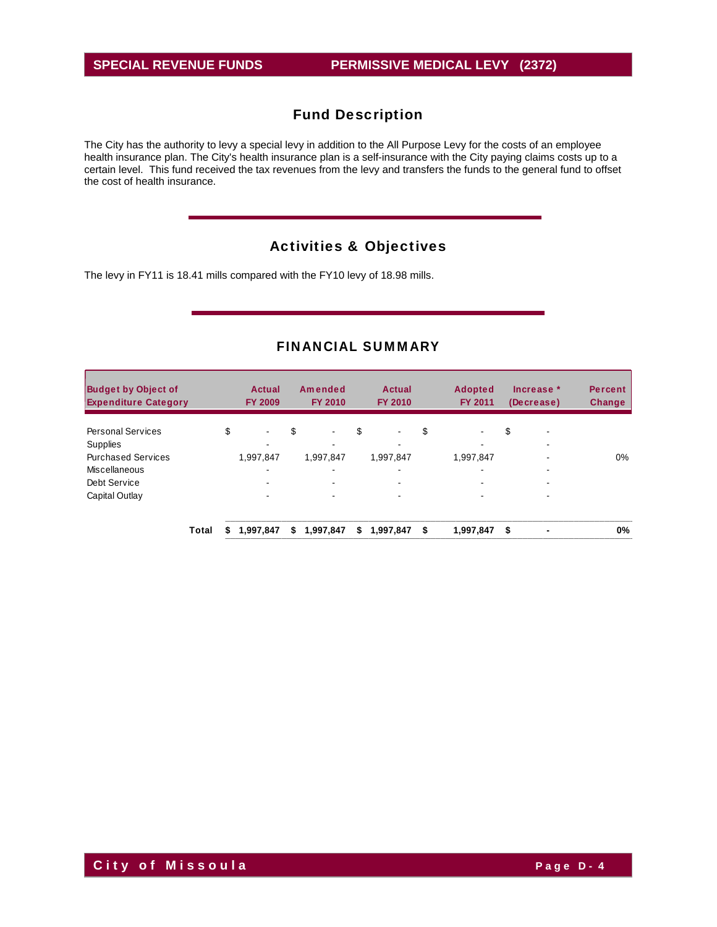The City has the authority to levy a special levy in addition to the All Purpose Levy for the costs of an employee health insurance plan. The City's health insurance plan is a self-insurance with the City paying claims costs up to a certain level. This fund received the tax revenues from the levy and transfers the funds to the general fund to offset the cost of health insurance.

# Activities & Objectives

The levy in FY11 is 18.41 mills compared with the FY10 levy of 18.98 mills.

| <b>Budget by Object of</b><br><b>Expenditure Category</b> |       | Actual<br><b>FY 2009</b> |    | Amended<br><b>FY 2010</b> | Actual<br><b>FY 2010</b> | <b>Adopted</b><br><b>FY 2011</b> | Increase *<br>(Decrease)            | <b>Percent</b><br><b>Change</b> |
|-----------------------------------------------------------|-------|--------------------------|----|---------------------------|--------------------------|----------------------------------|-------------------------------------|---------------------------------|
| <b>Personal Services</b><br>Supplies                      |       | \$<br>$\sim$             | \$ | $\blacksquare$            | \$<br>$\blacksquare$     | \$<br>٠.                         | \$<br>$\overline{\phantom{0}}$<br>٠ |                                 |
| <b>Purchased Services</b>                                 |       | 1,997,847                |    | 1,997,847                 | 1,997,847                | 1,997,847                        |                                     | $0\%$                           |
| Miscellaneous                                             |       | ۰                        |    |                           |                          | $\overline{\phantom{0}}$         | -                                   |                                 |
| Debt Service                                              |       | ۰                        |    | $\sim$                    | $\blacksquare$           |                                  | ۰                                   |                                 |
| Capital Outlay                                            |       |                          |    |                           |                          |                                  |                                     |                                 |
|                                                           | Total | 1,997,847                | S  | 1,997,847                 | \$<br>1,997,847          | \$<br>1,997,847                  | \$                                  | 0%                              |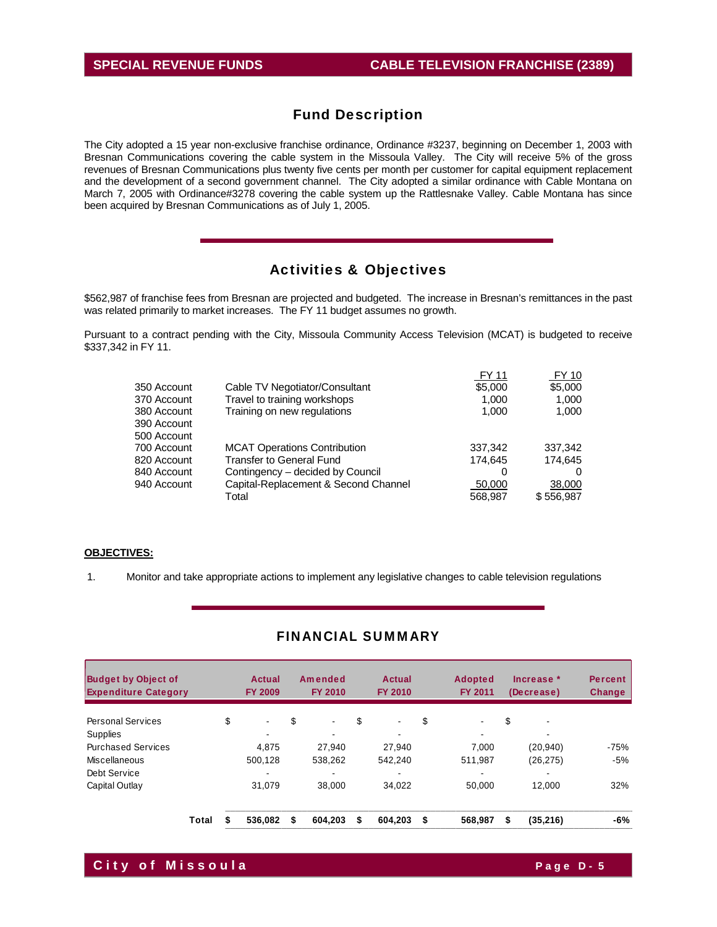The City adopted a 15 year non-exclusive franchise ordinance, Ordinance #3237, beginning on December 1, 2003 with Bresnan Communications covering the cable system in the Missoula Valley. The City will receive 5% of the gross revenues of Bresnan Communications plus twenty five cents per month per customer for capital equipment replacement and the development of a second government channel. The City adopted a similar ordinance with Cable Montana on March 7, 2005 with Ordinance#3278 covering the cable system up the Rattlesnake Valley. Cable Montana has since been acquired by Bresnan Communications as of July 1, 2005.

# Activities & Objectives

\$562,987 of franchise fees from Bresnan are projected and budgeted. The increase in Bresnan's remittances in the past was related primarily to market increases. The FY 11 budget assumes no growth.

Pursuant to a contract pending with the City, Missoula Community Access Television (MCAT) is budgeted to receive \$337,342 in FY 11.

|             |                                      | <b>FY 11</b> | FY 10     |
|-------------|--------------------------------------|--------------|-----------|
| 350 Account | Cable TV Negotiator/Consultant       | \$5,000      | \$5,000   |
| 370 Account | Travel to training workshops         | 1.000        | 1,000     |
| 380 Account | Training on new regulations          | 1,000        | 1,000     |
| 390 Account |                                      |              |           |
| 500 Account |                                      |              |           |
| 700 Account | <b>MCAT Operations Contribution</b>  | 337,342      | 337,342   |
| 820 Account | <b>Transfer to General Fund</b>      | 174,645      | 174,645   |
| 840 Account | Contingency – decided by Council     | 0            |           |
| 940 Account | Capital-Replacement & Second Channel | 50,000       | 38,000    |
|             | Total                                | 568.987      | \$556,987 |
|             |                                      |              |           |

### **OBJECTIVES:**

1. Monitor and take appropriate actions to implement any legislative changes to cable television regulations

| <b>Budget by Object of</b><br><b>Expenditure Category</b> |       | Actual<br><b>FY 2009</b> | Amended<br><b>FY 2010</b> |    | <b>Actual</b><br><b>FY 2010</b> | <b>Adopted</b><br>FY 2011 | Increase *<br>(Decrease) | <b>Percent</b><br>Change |
|-----------------------------------------------------------|-------|--------------------------|---------------------------|----|---------------------------------|---------------------------|--------------------------|--------------------------|
| <b>Personal Services</b>                                  |       | \$<br>$\blacksquare$     | \$<br>۰                   | \$ | $\blacksquare$                  | \$<br>$\blacksquare$      | \$                       |                          |
| <b>Supplies</b>                                           |       |                          |                           |    |                                 | $\overline{\phantom{0}}$  |                          |                          |
| <b>Purchased Services</b>                                 |       | 4.875                    | 27.940                    |    | 27.940                          | 7.000                     | (20, 940)                | $-75%$                   |
| Miscellaneous                                             |       | 500.128                  | 538.262                   |    | 542.240                         | 511.987                   | (26, 275)                | $-5%$                    |
| Debt Service                                              |       | -                        |                           |    | $\,$                            | $\overline{\phantom{0}}$  | -                        |                          |
| Capital Outlay                                            |       | 31,079                   | 38,000                    |    | 34,022                          | 50,000                    | 12.000                   | 32%                      |
|                                                           | Total | 536.082                  | \$<br>604.203             | S  | 604,203                         | \$<br>568.987             | \$<br>(35, 216)          | -6%                      |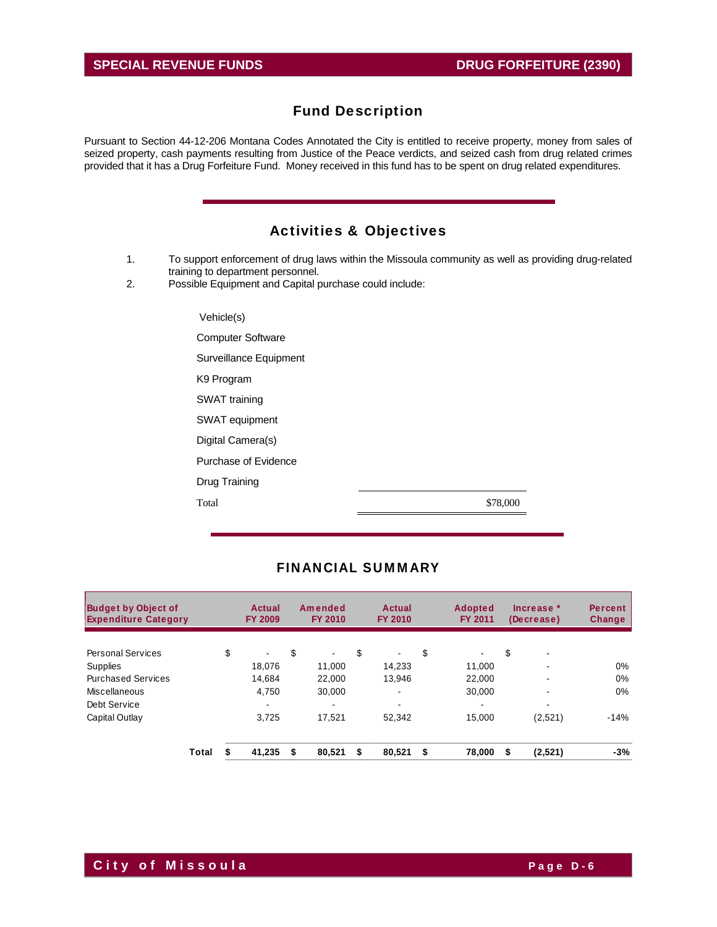Pursuant to Section 44-12-206 Montana Codes Annotated the City is entitled to receive property, money from sales of seized property, cash payments resulting from Justice of the Peace verdicts, and seized cash from drug related crimes provided that it has a Drug Forfeiture Fund. Money received in this fund has to be spent on drug related expenditures.

# Activities & Objectives

- 1. To support enforcement of drug laws within the Missoula community as well as providing drug-related training to department personnel.
- 2. Possible Equipment and Capital purchase could include:

| Vehicle(s)               |          |
|--------------------------|----------|
| <b>Computer Software</b> |          |
| Surveillance Equipment   |          |
| K <sub>9</sub> Program   |          |
| SWAT training            |          |
| SWAT equipment           |          |
| Digital Camera(s)        |          |
| Purchase of Evidence     |          |
| Drug Training            |          |
| Total                    | \$78,000 |

| <b>Budget by Object of</b><br><b>Expenditure Category</b> |       | Actual<br><b>FY 2009</b> |    | Amended<br><b>FY 2010</b> |    | Actual<br><b>FY 2010</b> |    | <b>Adopted</b><br><b>FY 2011</b> |    | Increase *<br>(Decrease) | <b>Percent</b><br>Change |
|-----------------------------------------------------------|-------|--------------------------|----|---------------------------|----|--------------------------|----|----------------------------------|----|--------------------------|--------------------------|
| <b>Personal Services</b>                                  |       | \$<br>$\sim$             | \$ | $\blacksquare$            | \$ | $\blacksquare$           | \$ |                                  | \$ | -                        |                          |
| <b>Supplies</b>                                           |       | 18.076                   |    | 11,000                    |    | 14.233                   |    | 11,000                           |    | -                        | $0\%$                    |
| <b>Purchased Services</b>                                 |       | 14.684                   |    | 22.000                    |    | 13.946                   |    | 22,000                           |    | ۰                        | $0\%$                    |
| Miscellaneous                                             |       | 4.750                    |    | 30.000                    |    | $\overline{\phantom{a}}$ |    | 30.000                           |    |                          | $0\%$                    |
| Debt Service                                              |       |                          |    | $\blacksquare$            |    | $\,$                     |    | ۰                                |    | -                        |                          |
| Capital Outlay                                            |       | 3.725                    |    | 17.521                    |    | 52.342                   |    | 15.000                           |    | (2,521)                  | $-14%$                   |
|                                                           | Total | 41,235                   | S  | 80,521                    | S  | 80,521                   | S  | 78,000                           | S  | (2,521)                  | $-3%$                    |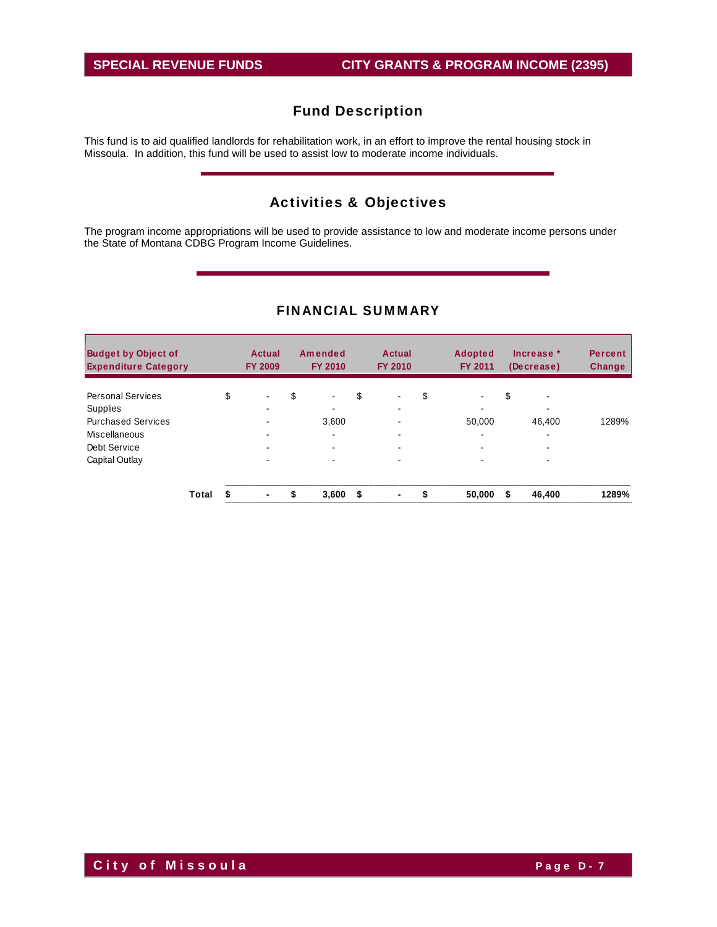This fund is to aid qualified landlords for rehabilitation work, in an effort to improve the rental housing stock in Missoula. In addition, this fund will be used to assist low to moderate income individuals.

# Activities & Objectives

The program income appropriations will be used to provide assistance to low and moderate income persons under the State of Montana CDBG Program Income Guidelines.

| <b>Budget by Object of</b><br><b>Expenditure Category</b> |       | Actual<br><b>FY 2009</b> | Amended<br><b>FY 2010</b> |    | <b>Actual</b><br><b>FY 2010</b> |    | <b>Adopted</b><br><b>FY 2011</b> |    | Increase *<br>(Decrease) | <b>Percent</b><br>Change |
|-----------------------------------------------------------|-------|--------------------------|---------------------------|----|---------------------------------|----|----------------------------------|----|--------------------------|--------------------------|
| <b>Personal Services</b>                                  |       | \$                       | \$                        | \$ |                                 | \$ |                                  | \$ |                          |                          |
| Supplies                                                  |       | -                        | -                         |    | -                               |    | -                                |    | $\overline{\phantom{0}}$ |                          |
| <b>Purchased Services</b>                                 |       |                          | 3,600                     |    |                                 |    | 50,000                           |    | 46.400                   | 1289%                    |
| Miscellaneous                                             |       |                          |                           |    |                                 |    | ۰                                |    | ۰                        |                          |
| Debt Service                                              |       | $\,$                     |                           |    | -                               |    | ۰                                |    | $\overline{\phantom{0}}$ |                          |
| Capital Outlay                                            |       | -                        |                           |    | -                               |    |                                  |    |                          |                          |
|                                                           | Total | ۰                        | \$<br>3,600               | S  | $\blacksquare$                  | S  | 50,000                           | S  | 46,400                   | 1289%                    |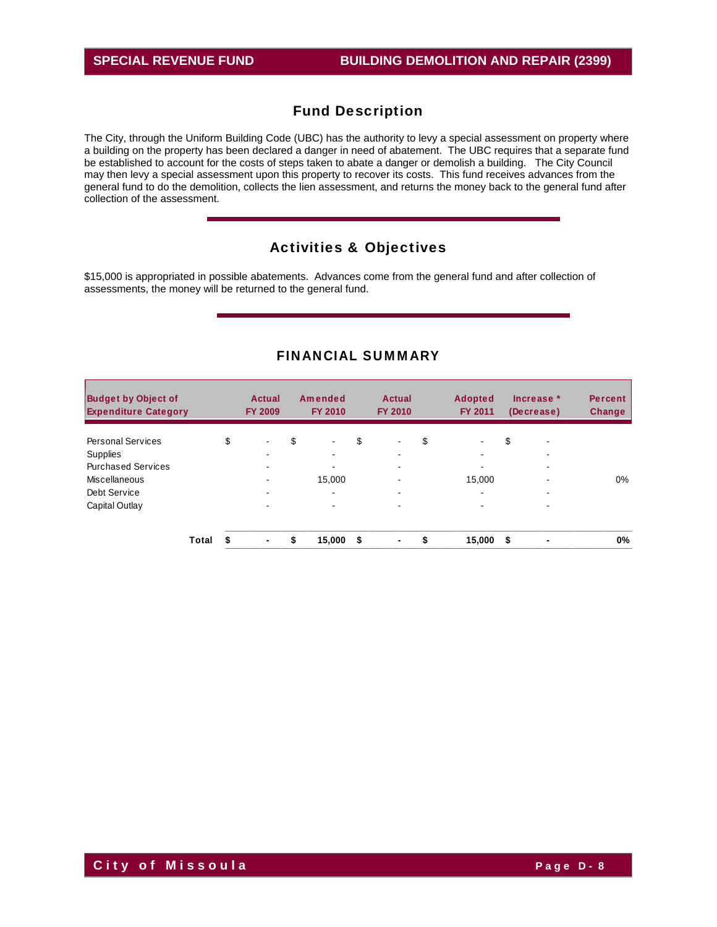The City, through the Uniform Building Code (UBC) has the authority to levy a special assessment on property where a building on the property has been declared a danger in need of abatement. The UBC requires that a separate fund be established to account for the costs of steps taken to abate a danger or demolish a building. The City Council may then levy a special assessment upon this property to recover its costs. This fund receives advances from the general fund to do the demolition, collects the lien assessment, and returns the money back to the general fund after collection of the assessment.

### Activities & Objectives

\$15,000 is appropriated in possible abatements. Advances come from the general fund and after collection of assessments, the money will be returned to the general fund.

| <b>Budget by Object of</b><br><b>Expenditure Category</b> |       |    | Actual<br><b>FY 2009</b> | Amended<br><b>FY 2010</b> | Actual<br><b>FY 2010</b>       |    | <b>Adopted</b><br><b>FY 2011</b> |    | Increase *<br>(Decrease) | <b>Percent</b><br><b>Change</b> |
|-----------------------------------------------------------|-------|----|--------------------------|---------------------------|--------------------------------|----|----------------------------------|----|--------------------------|---------------------------------|
| <b>Personal Services</b>                                  |       | \$ | ۰                        | \$<br>$\blacksquare$      | \$<br>$\overline{\phantom{a}}$ | \$ |                                  | \$ | $\overline{\phantom{0}}$ |                                 |
| <b>Supplies</b>                                           |       |    | ۰.                       | ۰.                        |                                |    | $\overline{\phantom{a}}$         |    | ۰.                       |                                 |
| <b>Purchased Services</b>                                 |       |    |                          |                           |                                |    |                                  |    | -                        |                                 |
| Miscellaneous                                             |       |    |                          | 15,000                    |                                |    | 15.000                           |    | -                        | $0\%$                           |
| Debt Service                                              |       |    | ٠                        | ۰.                        |                                |    | $\overline{\phantom{a}}$         |    | ۰                        |                                 |
| Capital Outlay                                            |       |    | ۰                        |                           | -                              |    | $\overline{\phantom{0}}$         |    | $\overline{\phantom{0}}$ |                                 |
|                                                           | Total | S  | ٠                        | \$<br>15,000              | \$<br>$\blacksquare$           | S  | 15,000                           | S. | $\blacksquare$           | 0%                              |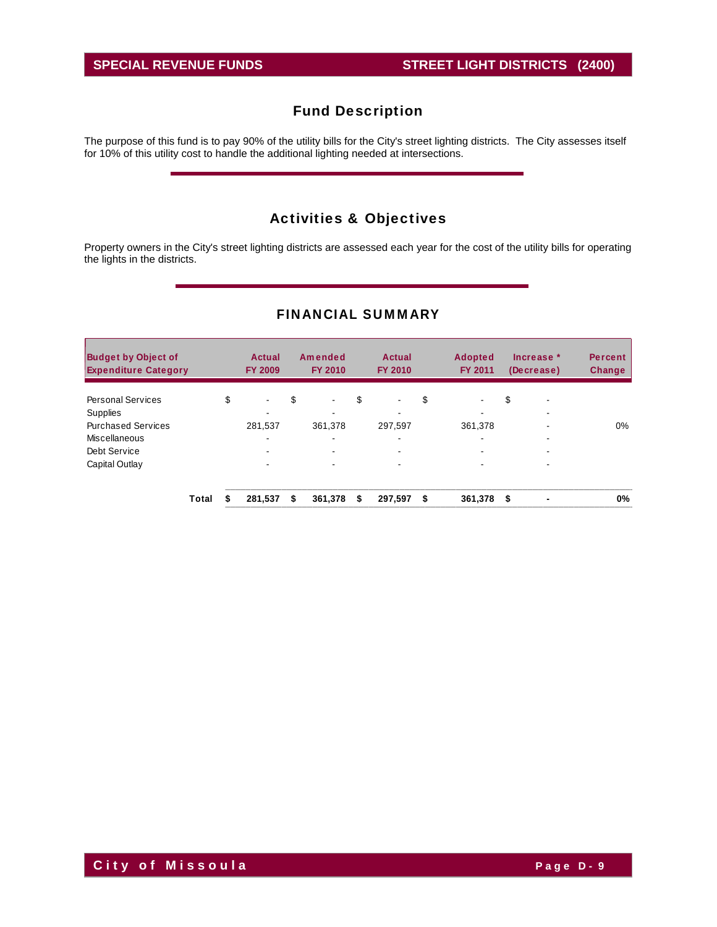The purpose of this fund is to pay 90% of the utility bills for the City's street lighting districts. The City assesses itself for 10% of this utility cost to handle the additional lighting needed at intersections.

# Activities & Objectives

Property owners in the City's street lighting districts are assessed each year for the cost of the utility bills for operating the lights in the districts.

| <b>Budget by Object of</b><br><b>Expenditure Category</b> |       | <b>Actual</b><br><b>FY 2009</b> |    | Amended<br><b>FY 2010</b> | <b>Actual</b><br><b>FY 2010</b> | <b>Adopted</b><br><b>FY 2011</b> |      | Increase *<br>(Decrease) | <b>Percent</b><br>Change |
|-----------------------------------------------------------|-------|---------------------------------|----|---------------------------|---------------------------------|----------------------------------|------|--------------------------|--------------------------|
| <b>Personal Services</b>                                  |       | \$<br>۰                         | \$ | $\sim$                    | \$<br>$\blacksquare$            | \$<br>$\blacksquare$             | \$   | -                        |                          |
| <b>Supplies</b>                                           |       |                                 |    |                           | -                               | -                                |      |                          |                          |
| <b>Purchased Services</b>                                 |       | 281,537                         |    | 361.378                   | 297.597                         | 361,378                          |      |                          | 0%                       |
| Miscellaneous                                             |       |                                 |    | $\blacksquare$            | $\overline{\phantom{0}}$        | $\blacksquare$                   |      |                          |                          |
| Debt Service                                              |       |                                 |    | $\blacksquare$            | $\overline{\phantom{a}}$        | ۰                                |      | -                        |                          |
| Capital Outlay                                            |       | ۰.                              |    |                           | $\overline{\phantom{0}}$        | -                                |      |                          |                          |
|                                                           | Total | 281.537                         | S  | 361,378                   | \$<br>297,597                   | \$<br>361,378                    | - \$ |                          | 0%                       |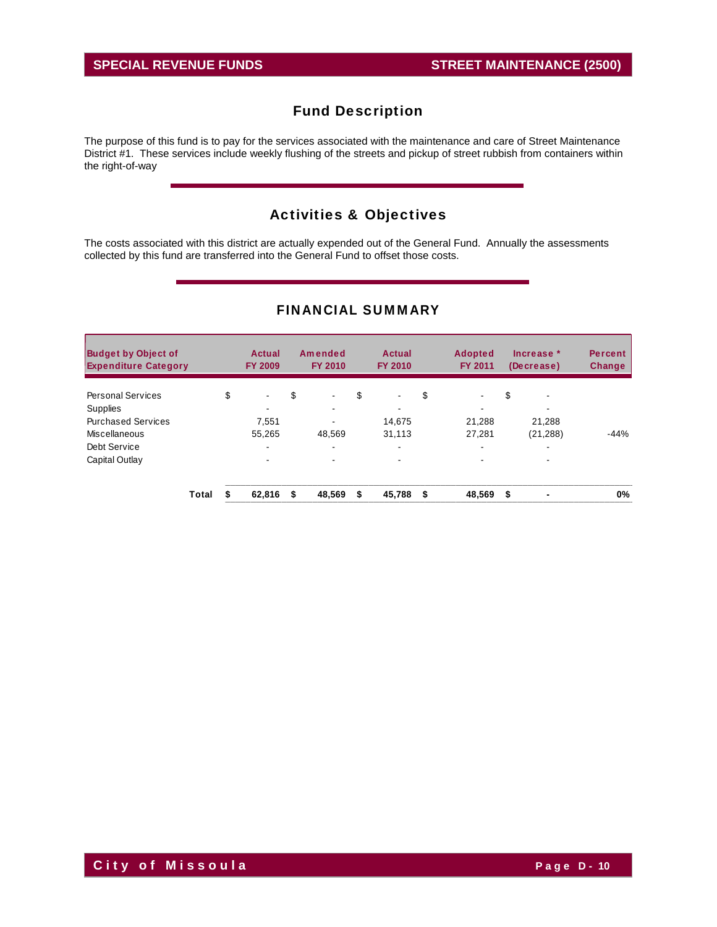The purpose of this fund is to pay for the services associated with the maintenance and care of Street Maintenance District #1. These services include weekly flushing of the streets and pickup of street rubbish from containers within the right-of-way

# Activities & Objectives

The costs associated with this district are actually expended out of the General Fund. Annually the assessments collected by this fund are transferred into the General Fund to offset those costs.

| <b>Budget by Object of</b><br><b>Expenditure Category</b> |       | Actual<br><b>FY 2009</b> | Amended<br><b>FY 2010</b> | Actual<br><b>FY 2010</b>       | <b>Adopted</b><br><b>FY 2011</b> | Increase *<br>(Decrease) | <b>Percent</b><br><b>Change</b> |
|-----------------------------------------------------------|-------|--------------------------|---------------------------|--------------------------------|----------------------------------|--------------------------|---------------------------------|
| <b>Personal Services</b>                                  |       | \$<br>٠                  | \$<br>$\blacksquare$      | \$<br>$\overline{\phantom{0}}$ | \$<br>$\blacksquare$             | \$<br>$\blacksquare$     |                                 |
| <b>Supplies</b>                                           |       |                          |                           |                                |                                  | ۰                        |                                 |
| <b>Purchased Services</b>                                 |       | 7,551                    | ۰.                        | 14.675                         | 21,288                           | 21,288                   |                                 |
| Miscellaneous                                             |       | 55,265                   | 48.569                    | 31.113                         | 27,281                           | (21, 288)                | $-44%$                          |
| Debt Service                                              |       | ۰.                       | ۰.                        | ۰.                             | $\overline{\phantom{a}}$         | ۰                        |                                 |
| Capital Outlay                                            |       | ۰                        | -                         |                                |                                  |                          |                                 |
|                                                           | Total | 62.816                   | \$<br>48,569              | \$<br>45,788                   | \$<br>48,569                     | \$                       | 0%                              |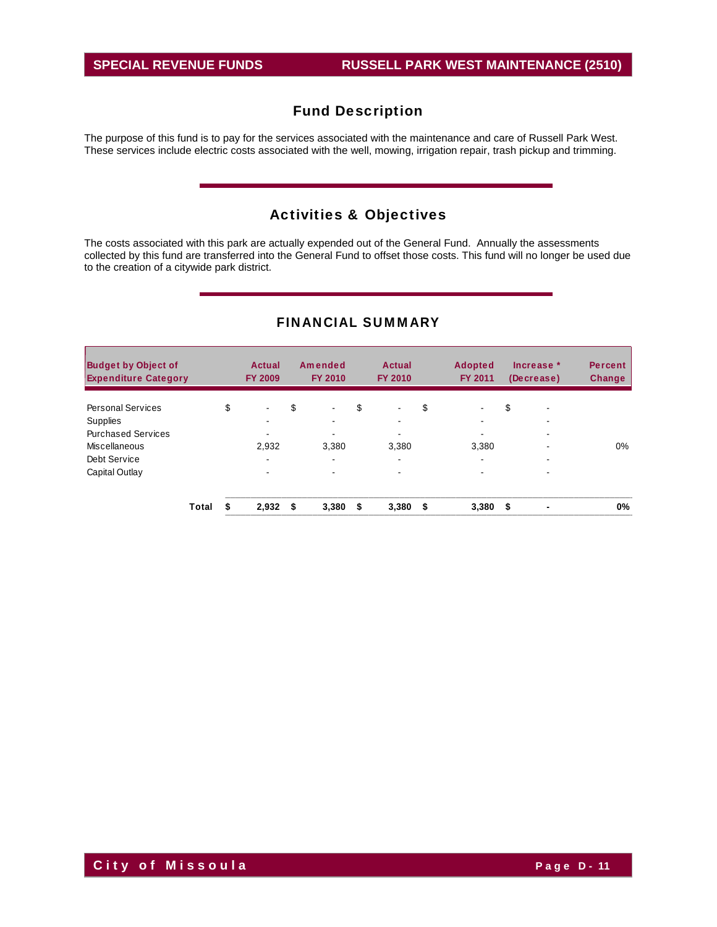The purpose of this fund is to pay for the services associated with the maintenance and care of Russell Park West. These services include electric costs associated with the well, mowing, irrigation repair, trash pickup and trimming.

# Activities & Objectives

The costs associated with this park are actually expended out of the General Fund. Annually the assessments collected by this fund are transferred into the General Fund to offset those costs. This fund will no longer be used due to the creation of a citywide park district.

| <b>Budget by Object of</b><br><b>Expenditure Category</b> |       | Actual<br><b>FY 2009</b> |    | Amended<br><b>FY 2010</b> |    | Actual<br><b>FY 2010</b> |    | <b>Adopted</b><br><b>FY 2011</b> |      | Increase *<br>(Decrease) | <b>Percent</b><br><b>Change</b> |
|-----------------------------------------------------------|-------|--------------------------|----|---------------------------|----|--------------------------|----|----------------------------------|------|--------------------------|---------------------------------|
| <b>Personal Services</b>                                  |       | \$<br>$\sim$             | \$ | $\blacksquare$            | \$ | $\blacksquare$           | \$ |                                  | \$   | $\overline{\phantom{a}}$ |                                 |
| <b>Supplies</b>                                           |       | ۰                        |    |                           |    | ۰                        |    | $\overline{\phantom{0}}$         |      | $\overline{\phantom{a}}$ |                                 |
| <b>Purchased Services</b>                                 |       |                          |    |                           |    | $\,$                     |    |                                  |      | $\blacksquare$           |                                 |
| Miscellaneous                                             |       | 2,932                    |    | 3.380                     |    | 3.380                    |    | 3,380                            |      | ۰                        | $0\%$                           |
| Debt Service                                              |       | ۰                        |    | $\sim$                    |    |                          |    | $\overline{\phantom{a}}$         |      |                          |                                 |
| Capital Outlay                                            |       | $\blacksquare$           |    | $\blacksquare$            |    | $\,$                     |    | $\blacksquare$                   |      | $\overline{\phantom{0}}$ |                                 |
|                                                           | Total | 2,932                    | S  | 3,380                     | S  | 3,380                    | S. | 3,380                            | - \$ |                          | 0%                              |

### FINANCIAL SUMMARY

**City of Missoula City of Missoula**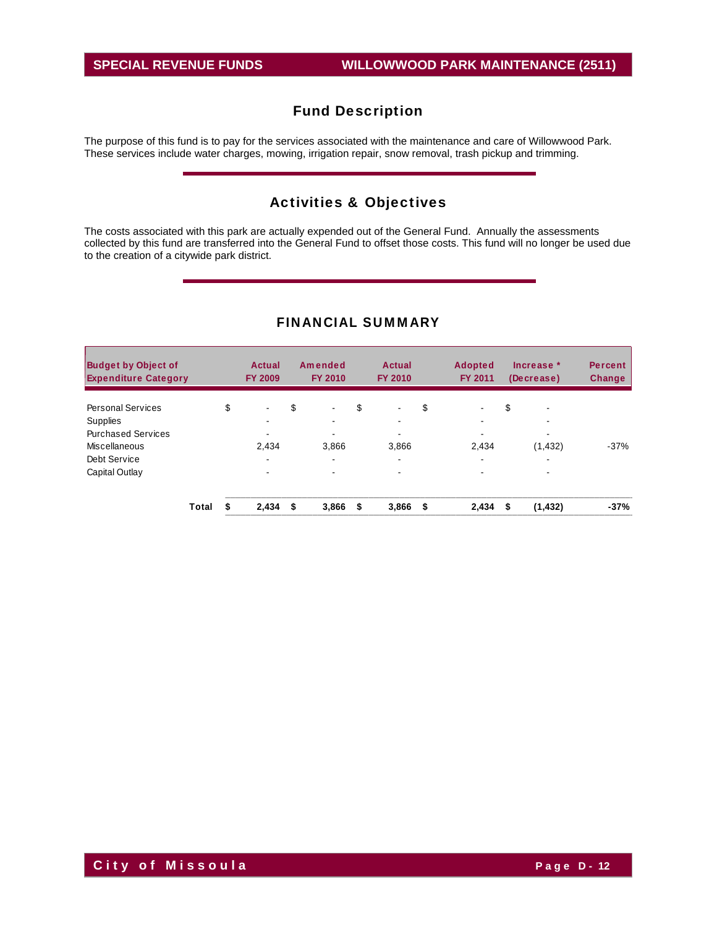The purpose of this fund is to pay for the services associated with the maintenance and care of Willowwood Park. These services include water charges, mowing, irrigation repair, snow removal, trash pickup and trimming.

# Activities & Objectives

The costs associated with this park are actually expended out of the General Fund. Annually the assessments collected by this fund are transferred into the General Fund to offset those costs. This fund will no longer be used due to the creation of a citywide park district.

| <b>Budget by Object of</b><br><b>Expenditure Category</b> |       | <b>Actual</b><br><b>FY 2009</b> | Amended<br><b>FY 2010</b> | <b>Actual</b><br><b>FY 2010</b> |     | <b>Adopted</b><br><b>FY 2011</b> |    | Increase *<br>(Decrease) | <b>Percent</b><br><b>Change</b> |
|-----------------------------------------------------------|-------|---------------------------------|---------------------------|---------------------------------|-----|----------------------------------|----|--------------------------|---------------------------------|
| Personal Services                                         |       | \$<br>$\sim$                    | \$<br>$\blacksquare$      | \$<br>$\blacksquare$            | \$  | $\blacksquare$                   | \$ | $\,$                     |                                 |
| Supplies                                                  |       | ۰                               | ۰                         | $\overline{\phantom{a}}$        |     |                                  |    |                          |                                 |
| <b>Purchased Services</b>                                 |       | $\blacksquare$                  | ۰                         | ٠                               |     |                                  |    | $\overline{\phantom{0}}$ |                                 |
| Miscellaneous                                             |       | 2.434                           | 3.866                     | 3.866                           |     | 2.434                            |    | (1, 432)                 | $-37%$                          |
| Debt Service                                              |       | $\blacksquare$                  | ۰                         | $\blacksquare$                  |     | $\blacksquare$                   |    | $\overline{\phantom{0}}$ |                                 |
| Capital Outlay                                            |       | $\blacksquare$                  | ٠                         | $\blacksquare$                  |     |                                  |    |                          |                                 |
|                                                           | Total | 2,434                           | \$<br>3,866               | \$<br>3,866                     | -\$ | 2,434                            | S  | (1, 432)                 | $-37%$                          |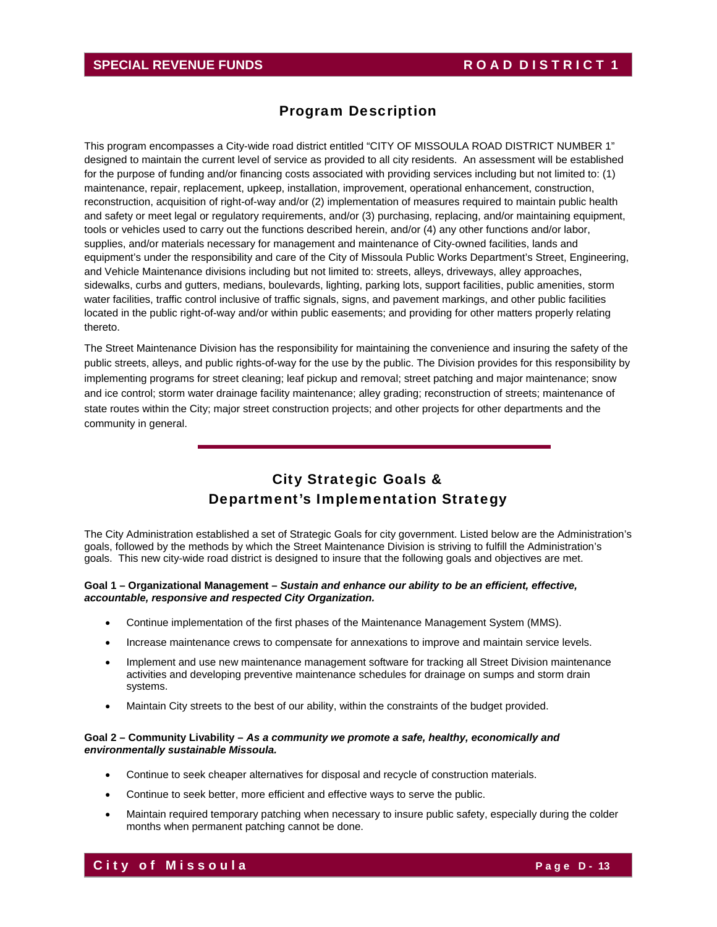# Program Description

This program encompasses a City-wide road district entitled "CITY OF MISSOULA ROAD DISTRICT NUMBER 1" designed to maintain the current level of service as provided to all city residents. An assessment will be established for the purpose of funding and/or financing costs associated with providing services including but not limited to: (1) maintenance, repair, replacement, upkeep, installation, improvement, operational enhancement, construction, reconstruction, acquisition of right-of-way and/or (2) implementation of measures required to maintain public health and safety or meet legal or regulatory requirements, and/or (3) purchasing, replacing, and/or maintaining equipment, tools or vehicles used to carry out the functions described herein, and/or (4) any other functions and/or labor, supplies, and/or materials necessary for management and maintenance of City-owned facilities, lands and equipment's under the responsibility and care of the City of Missoula Public Works Department's Street, Engineering, and Vehicle Maintenance divisions including but not limited to: streets, alleys, driveways, alley approaches, sidewalks, curbs and gutters, medians, boulevards, lighting, parking lots, support facilities, public amenities, storm water facilities, traffic control inclusive of traffic signals, signs, and pavement markings, and other public facilities located in the public right-of-way and/or within public easements; and providing for other matters properly relating thereto.

The Street Maintenance Division has the responsibility for maintaining the convenience and insuring the safety of the public streets, alleys, and public rights-of-way for the use by the public. The Division provides for this responsibility by implementing programs for street cleaning; leaf pickup and removal; street patching and major maintenance; snow and ice control; storm water drainage facility maintenance; alley grading; reconstruction of streets; maintenance of state routes within the City; major street construction projects; and other projects for other departments and the community in general.

# City Strategic Goals & Department's Implementation Strategy

The City Administration established a set of Strategic Goals for city government. Listed below are the Administration's goals, followed by the methods by which the Street Maintenance Division is striving to fulfill the Administration's goals. This new city-wide road district is designed to insure that the following goals and objectives are met.

#### **Goal 1 – Organizational Management –** *Sustain and enhance our ability to be an efficient, effective, accountable, responsive and respected City Organization.*

- Continue implementation of the first phases of the Maintenance Management System (MMS).
- Increase maintenance crews to compensate for annexations to improve and maintain service levels.
- Implement and use new maintenance management software for tracking all Street Division maintenance activities and developing preventive maintenance schedules for drainage on sumps and storm drain systems.
- Maintain City streets to the best of our ability, within the constraints of the budget provided.

#### **Goal 2 – Community Livability –** *As a community we promote a safe, healthy, economically and environmentally sustainable Missoula.*

- Continue to seek cheaper alternatives for disposal and recycle of construction materials.
- Continue to seek better, more efficient and effective ways to serve the public.
- Maintain required temporary patching when necessary to insure public safety, especially during the colder months when permanent patching cannot be done.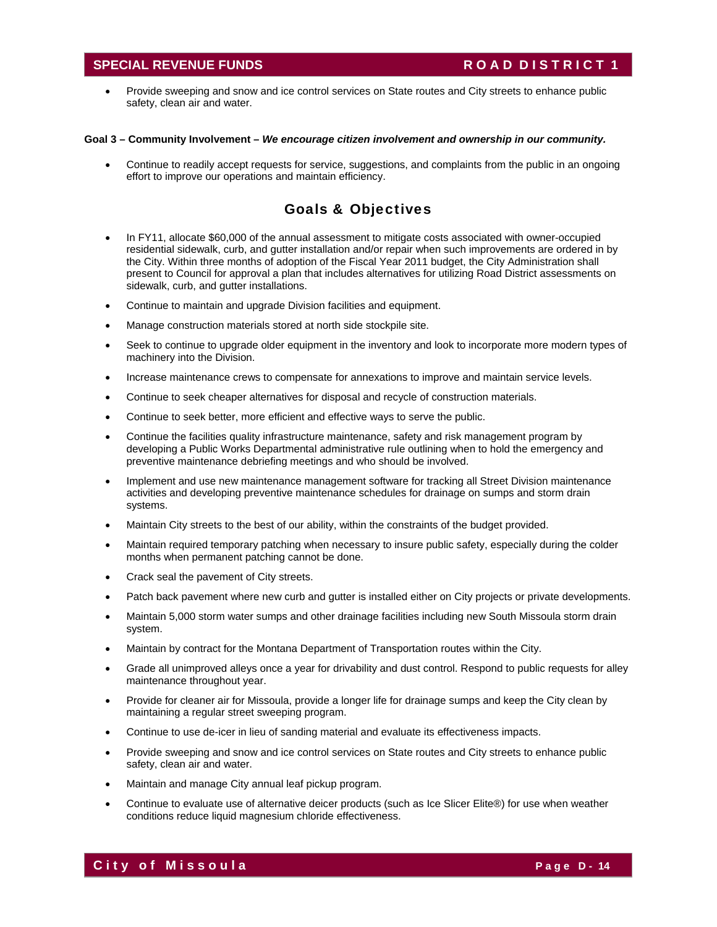### **SPECIAL REVENUE FUNDS** ROAD DISTRICT 1

 Provide sweeping and snow and ice control services on State routes and City streets to enhance public safety, clean air and water.

#### **Goal 3 – Community Involvement –** *We encourage citizen involvement and ownership in our community.*

 Continue to readily accept requests for service, suggestions, and complaints from the public in an ongoing effort to improve our operations and maintain efficiency.

### Goals & Objectives

- In FY11, allocate \$60,000 of the annual assessment to mitigate costs associated with owner-occupied residential sidewalk, curb, and gutter installation and/or repair when such improvements are ordered in by the City. Within three months of adoption of the Fiscal Year 2011 budget, the City Administration shall present to Council for approval a plan that includes alternatives for utilizing Road District assessments on sidewalk, curb, and gutter installations.
- Continue to maintain and upgrade Division facilities and equipment.
- Manage construction materials stored at north side stockpile site.
- Seek to continue to upgrade older equipment in the inventory and look to incorporate more modern types of machinery into the Division.
- Increase maintenance crews to compensate for annexations to improve and maintain service levels.
- Continue to seek cheaper alternatives for disposal and recycle of construction materials.
- Continue to seek better, more efficient and effective ways to serve the public.
- Continue the facilities quality infrastructure maintenance, safety and risk management program by developing a Public Works Departmental administrative rule outlining when to hold the emergency and preventive maintenance debriefing meetings and who should be involved.
- Implement and use new maintenance management software for tracking all Street Division maintenance activities and developing preventive maintenance schedules for drainage on sumps and storm drain systems.
- Maintain City streets to the best of our ability, within the constraints of the budget provided.
- Maintain required temporary patching when necessary to insure public safety, especially during the colder months when permanent patching cannot be done.
- Crack seal the pavement of City streets.
- Patch back pavement where new curb and gutter is installed either on City projects or private developments.
- Maintain 5,000 storm water sumps and other drainage facilities including new South Missoula storm drain system.
- Maintain by contract for the Montana Department of Transportation routes within the City.
- Grade all unimproved alleys once a year for drivability and dust control. Respond to public requests for alley maintenance throughout year.
- Provide for cleaner air for Missoula, provide a longer life for drainage sumps and keep the City clean by maintaining a regular street sweeping program.
- Continue to use de-icer in lieu of sanding material and evaluate its effectiveness impacts.
- Provide sweeping and snow and ice control services on State routes and City streets to enhance public safety, clean air and water.
- Maintain and manage City annual leaf pickup program.
- Continue to evaluate use of alternative deicer products (such as Ice Slicer Elite®) for use when weather conditions reduce liquid magnesium chloride effectiveness.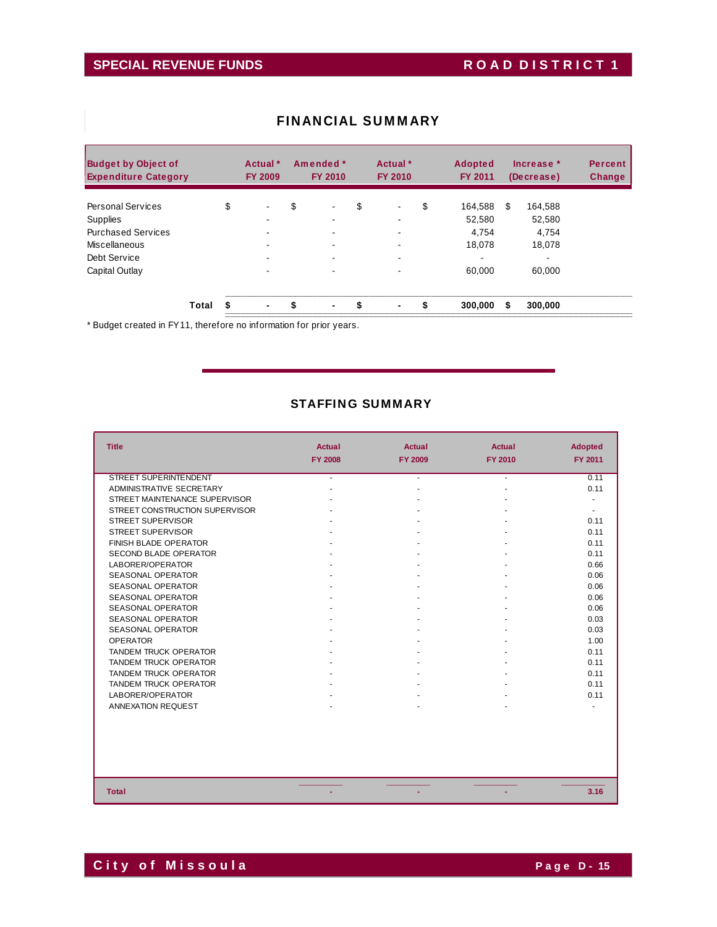# SPECIAL REVENUE FUNDS ROAD DISTRICT 1

| <b>Budget by Object of</b><br><b>Expenditure Category</b> |       | Actual *<br><b>FY 2009</b> | Amended *<br><b>FY 2010</b> |                | Actual *<br><b>FY 2010</b> |                          |    | <b>Adopted</b><br><b>FY 2011</b> |    | Increase *<br>(Decrease) | <b>Percent</b><br>Change |
|-----------------------------------------------------------|-------|----------------------------|-----------------------------|----------------|----------------------------|--------------------------|----|----------------------------------|----|--------------------------|--------------------------|
| <b>Personal Services</b>                                  |       | \$<br>۰                    | \$                          |                | \$                         | $\blacksquare$           | \$ | 164,588                          | \$ | 164,588                  |                          |
| Supplies                                                  |       |                            |                             |                |                            | -                        |    | 52,580                           |    | 52,580                   |                          |
| <b>Purchased Services</b>                                 |       |                            |                             | $\blacksquare$ |                            | $\overline{\phantom{a}}$ |    | 4.754                            |    | 4.754                    |                          |
| Miscellaneous                                             |       |                            |                             |                |                            |                          |    | 18.078                           |    | 18.078                   |                          |
| Debt Service                                              |       |                            |                             |                |                            | $\overline{\phantom{0}}$ |    | -                                |    |                          |                          |
| Capital Outlay                                            |       |                            |                             |                |                            |                          |    | 60.000                           |    | 60.000                   |                          |
|                                                           | Total | \$<br>$\blacksquare$       | \$                          | $\blacksquare$ | S                          | $\blacksquare$           | \$ | 300,000                          | \$ | 300,000                  |                          |

### FINANCIAL SUMMARY

\* Budget created in FY11, therefore no information for prior years.

### STAFFING SUMMARY

| <b>Title</b>                   | <b>Actual</b><br><b>FY 2008</b> | <b>Actual</b><br><b>FY 2009</b> | <b>Actual</b><br><b>FY 2010</b> | <b>Adopted</b><br>FY 2011 |
|--------------------------------|---------------------------------|---------------------------------|---------------------------------|---------------------------|
| <b>STREET SUPERINTENDENT</b>   | ÷.                              | ÷.                              | $\sim$                          | 0.11                      |
| ADMINISTRATIVE SECRETARY       |                                 |                                 |                                 | 0.11                      |
| STREET MAINTENANCE SUPERVISOR  |                                 |                                 |                                 |                           |
| STREET CONSTRUCTION SUPERVISOR |                                 |                                 |                                 | ٠                         |
| <b>STREET SUPERVISOR</b>       |                                 |                                 |                                 | 0.11                      |
| <b>STREET SUPERVISOR</b>       |                                 |                                 |                                 | 0.11                      |
| <b>FINISH BLADE OPERATOR</b>   |                                 |                                 |                                 | 0.11                      |
| SECOND BLADE OPERATOR          |                                 |                                 |                                 | 0.11                      |
| LABORER/OPERATOR               |                                 |                                 |                                 | 0.66                      |
| <b>SEASONAL OPERATOR</b>       |                                 |                                 |                                 | 0.06                      |
| <b>SEASONAL OPERATOR</b>       |                                 |                                 |                                 | 0.06                      |
| <b>SEASONAL OPERATOR</b>       |                                 |                                 |                                 | 0.06                      |
| <b>SEASONAL OPERATOR</b>       |                                 |                                 |                                 | 0.06                      |
| <b>SEASONAL OPERATOR</b>       |                                 |                                 |                                 | 0.03                      |
| <b>SEASONAL OPERATOR</b>       |                                 |                                 |                                 | 0.03                      |
| <b>OPERATOR</b>                |                                 |                                 |                                 | 1.00                      |
| <b>TANDEM TRUCK OPERATOR</b>   |                                 |                                 |                                 | 0.11                      |
| <b>TANDEM TRUCK OPERATOR</b>   |                                 |                                 |                                 | 0.11                      |
| <b>TANDEM TRUCK OPERATOR</b>   |                                 |                                 |                                 | 0.11                      |
| <b>TANDEM TRUCK OPERATOR</b>   |                                 |                                 |                                 | 0.11                      |
| LABORER/OPERATOR               |                                 |                                 |                                 | 0.11                      |
| ANNEXATION REQUEST             |                                 |                                 |                                 |                           |
|                                |                                 |                                 |                                 |                           |
| <b>Total</b>                   |                                 |                                 |                                 | 3.16                      |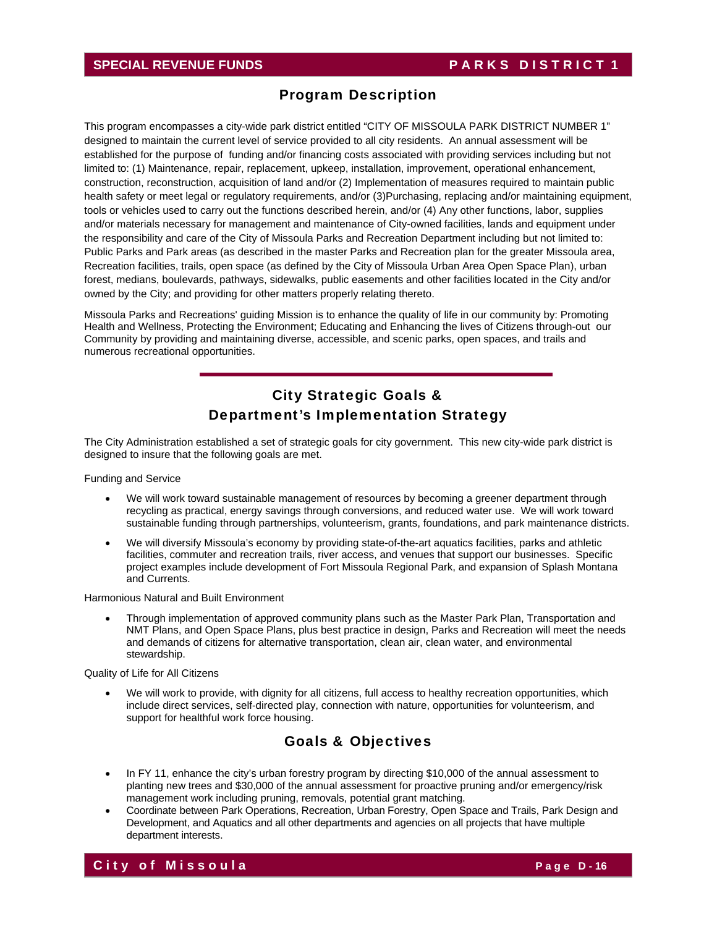### **SPECIAL REVENUE FUNDS** PARKS DISTRICT 1

### Program Description

This program encompasses a city-wide park district entitled "CITY OF MISSOULA PARK DISTRICT NUMBER 1" designed to maintain the current level of service provided to all city residents. An annual assessment will be established for the purpose of funding and/or financing costs associated with providing services including but not limited to: (1) Maintenance, repair, replacement, upkeep, installation, improvement, operational enhancement, construction, reconstruction, acquisition of land and/or (2) Implementation of measures required to maintain public health safety or meet legal or regulatory requirements, and/or (3)Purchasing, replacing and/or maintaining equipment, tools or vehicles used to carry out the functions described herein, and/or (4) Any other functions, labor, supplies and/or materials necessary for management and maintenance of City-owned facilities, lands and equipment under the responsibility and care of the City of Missoula Parks and Recreation Department including but not limited to: Public Parks and Park areas (as described in the master Parks and Recreation plan for the greater Missoula area, Recreation facilities, trails, open space (as defined by the City of Missoula Urban Area Open Space Plan), urban forest, medians, boulevards, pathways, sidewalks, public easements and other facilities located in the City and/or owned by the City; and providing for other matters properly relating thereto.

Missoula Parks and Recreations' guiding Mission is to enhance the quality of life in our community by: Promoting Health and Wellness, Protecting the Environment; Educating and Enhancing the lives of Citizens through-out our Community by providing and maintaining diverse, accessible, and scenic parks, open spaces, and trails and numerous recreational opportunities.

# City Strategic Goals & Department's Implementation Strategy

The City Administration established a set of strategic goals for city government. This new city-wide park district is designed to insure that the following goals are met.

Funding and Service

- We will work toward sustainable management of resources by becoming a greener department through recycling as practical, energy savings through conversions, and reduced water use. We will work toward sustainable funding through partnerships, volunteerism, grants, foundations, and park maintenance districts.
- We will diversify Missoula's economy by providing state-of-the-art aquatics facilities, parks and athletic facilities, commuter and recreation trails, river access, and venues that support our businesses. Specific project examples include development of Fort Missoula Regional Park, and expansion of Splash Montana and Currents.

Harmonious Natural and Built Environment

 Through implementation of approved community plans such as the Master Park Plan, Transportation and NMT Plans, and Open Space Plans, plus best practice in design, Parks and Recreation will meet the needs and demands of citizens for alternative transportation, clean air, clean water, and environmental stewardship.

Quality of Life for All Citizens

 We will work to provide, with dignity for all citizens, full access to healthy recreation opportunities, which include direct services, self-directed play, connection with nature, opportunities for volunteerism, and support for healthful work force housing.

# Goals & Objectives

- In FY 11, enhance the city's urban forestry program by directing \$10,000 of the annual assessment to planting new trees and \$30,000 of the annual assessment for proactive pruning and/or emergency/risk management work including pruning, removals, potential grant matching.
- Coordinate between Park Operations, Recreation, Urban Forestry, Open Space and Trails, Park Design and Development, and Aquatics and all other departments and agencies on all projects that have multiple department interests.

### **City of Missoula Page D-16**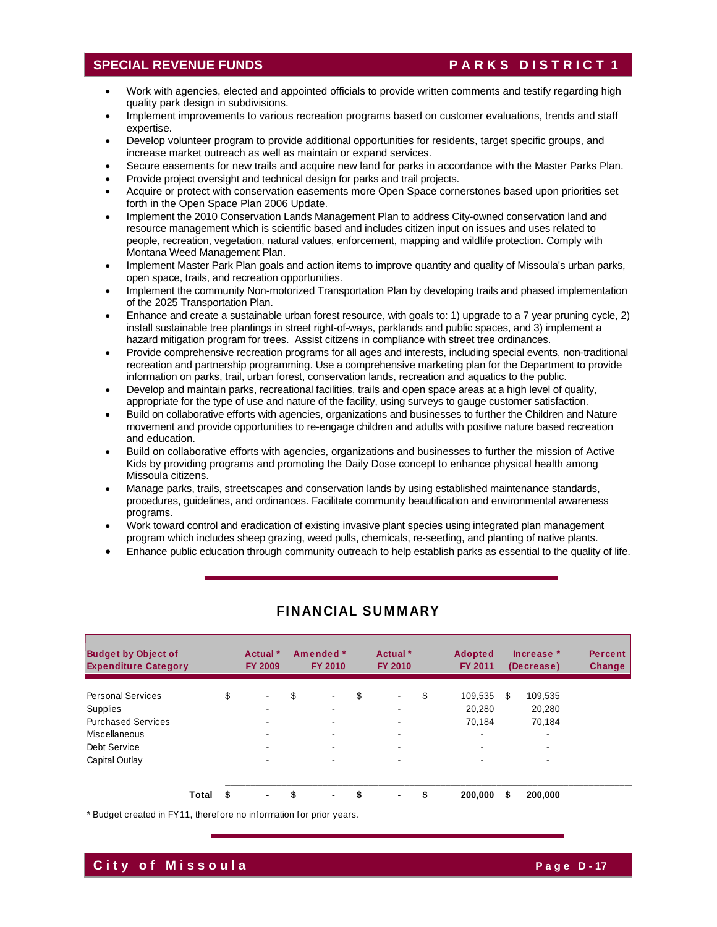### **SPECIAL REVENUE FUNDS** PARKS DISTRICT 1

- Work with agencies, elected and appointed officials to provide written comments and testify regarding high quality park design in subdivisions.
- Implement improvements to various recreation programs based on customer evaluations, trends and staff expertise.
- Develop volunteer program to provide additional opportunities for residents, target specific groups, and increase market outreach as well as maintain or expand services.
- Secure easements for new trails and acquire new land for parks in accordance with the Master Parks Plan.
- Provide project oversight and technical design for parks and trail projects.
- Acquire or protect with conservation easements more Open Space cornerstones based upon priorities set forth in the Open Space Plan 2006 Update.
- Implement the 2010 Conservation Lands Management Plan to address City-owned conservation land and resource management which is scientific based and includes citizen input on issues and uses related to people, recreation, vegetation, natural values, enforcement, mapping and wildlife protection. Comply with Montana Weed Management Plan.
- Implement Master Park Plan goals and action items to improve quantity and quality of Missoula's urban parks, open space, trails, and recreation opportunities.
- Implement the community Non-motorized Transportation Plan by developing trails and phased implementation of the 2025 Transportation Plan.
- Enhance and create a sustainable urban forest resource, with goals to: 1) upgrade to a 7 year pruning cycle, 2) install sustainable tree plantings in street right-of-ways, parklands and public spaces, and 3) implement a hazard mitigation program for trees. Assist citizens in compliance with street tree ordinances.
- Provide comprehensive recreation programs for all ages and interests, including special events, non-traditional recreation and partnership programming. Use a comprehensive marketing plan for the Department to provide information on parks, trail, urban forest, conservation lands, recreation and aquatics to the public.
- Develop and maintain parks, recreational facilities, trails and open space areas at a high level of quality, appropriate for the type of use and nature of the facility, using surveys to gauge customer satisfaction.
- Build on collaborative efforts with agencies, organizations and businesses to further the Children and Nature movement and provide opportunities to re-engage children and adults with positive nature based recreation and education.
- Build on collaborative efforts with agencies, organizations and businesses to further the mission of Active Kids by providing programs and promoting the Daily Dose concept to enhance physical health among Missoula citizens.
- Manage parks, trails, streetscapes and conservation lands by using established maintenance standards, procedures, guidelines, and ordinances. Facilitate community beautification and environmental awareness programs.
- Work toward control and eradication of existing invasive plant species using integrated plan management program which includes sheep grazing, weed pulls, chemicals, re-seeding, and planting of native plants.
- Enhance public education through community outreach to help establish parks as essential to the quality of life.

| <b>Budget by Object of</b><br><b>Expenditure Category</b> |       | Actual *<br><b>FY 2009</b> | Amended *<br><b>FY 2010</b> |    | Actual *<br><b>FY 2010</b> | <b>Adopted</b><br><b>FY 2011</b> |    | Increase *<br>(Decrease) | <b>Percent</b><br>Change |
|-----------------------------------------------------------|-------|----------------------------|-----------------------------|----|----------------------------|----------------------------------|----|--------------------------|--------------------------|
| <b>Personal Services</b>                                  |       | \$<br>$\blacksquare$       | \$<br>$\blacksquare$        | \$ | $\blacksquare$             | \$<br>109,535                    | S  | 109.535                  |                          |
| <b>Supplies</b>                                           |       | -                          | -                           |    | $\overline{\phantom{a}}$   | 20.280                           |    | 20.280                   |                          |
| <b>Purchased Services</b>                                 |       | -                          | $\blacksquare$              |    | $\blacksquare$             | 70.184                           |    | 70.184                   |                          |
| Miscellaneous                                             |       |                            |                             |    | $\overline{\phantom{0}}$   | $\blacksquare$                   |    | ۰                        |                          |
| Debt Service                                              |       | $\sim$                     |                             |    | $\overline{\phantom{0}}$   | ۰                                |    | ۰                        |                          |
| Capital Outlay                                            |       | $\blacksquare$             |                             |    | $\blacksquare$             | ۰                                |    |                          |                          |
|                                                           | Total | \$                         | \$<br>$\blacksquare$        | S  | $\blacksquare$             | \$<br>200,000                    | \$ | 200,000                  |                          |

### FINANCIAL SUMMARY

\* Budget created in FY11, therefore no information for prior years.

# **City of Missoula**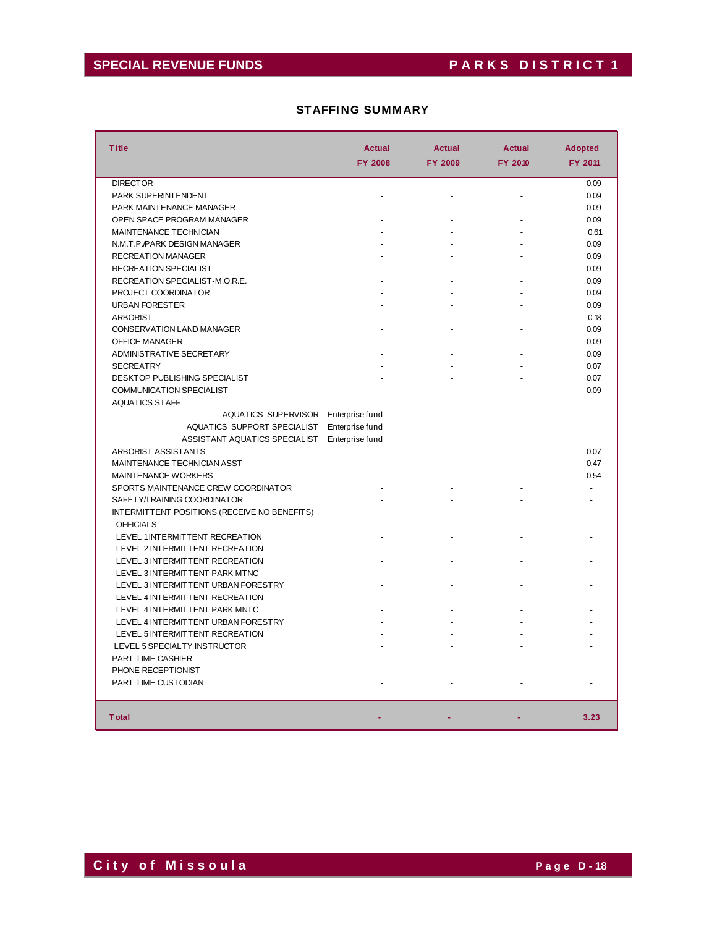# SPECIAL REVENUE FUNDS PARKS DISTRICT 1

### STAFFING SUMMARY

| <b>Title</b>                                 | <b>Actual</b>   | <b>Actual</b> | <b>Actual</b> | <b>Adopted</b> |
|----------------------------------------------|-----------------|---------------|---------------|----------------|
|                                              | <b>FY 2008</b>  | FY 2009       | FY 2010       | FY 2011        |
| <b>DIRECTOR</b>                              | $\blacksquare$  | L.            | L,            | 0.09           |
| <b>PARK SUPERINTENDENT</b>                   |                 |               |               | 0.09           |
| PARK MAINTENANCE MANAGER                     |                 |               |               | 0.09           |
| OPEN SPACE PROGRAM MANAGER                   |                 |               |               | 0.09           |
| MAINTENANCE TECHNICIAN                       |                 |               |               | 0.61           |
| N.M.T.P./PARK DESIGN MANAGER                 |                 |               |               | 0.09           |
| <b>RECREATION MANAGER</b>                    |                 |               |               | 0.09           |
| <b>RECREATION SPECIALIST</b>                 |                 |               |               | 0.09           |
| RECREATION SPECIALIST-M.O.R.E.               |                 |               |               | 0.09           |
| PROJECT COORDINATOR                          |                 |               |               | 0.09           |
|                                              |                 |               |               |                |
| <b>URBAN FORESTER</b>                        |                 |               |               | 0.09           |
| <b>ARBORIST</b>                              |                 |               |               | 0.18           |
| CONSERVATION LAND MANAGER                    |                 |               |               | 0.09           |
| OFFICE MANAGER                               |                 |               |               | 0.09           |
| <b>ADMINISTRATIVE SECRETARY</b>              |                 |               |               | 0.09           |
| <b>SECREATRY</b>                             |                 |               |               | 0.07           |
| <b>DESKTOP PUBLISHING SPECIALIST</b>         |                 |               |               | 0.07           |
| <b>COMMUNICATION SPECIALIST</b>              |                 |               |               | 0.09           |
| <b>AQUATICS STAFF</b>                        |                 |               |               |                |
| AQUATICS SUPERVISOR Enterprise fund          |                 |               |               |                |
| AQUATICS SUPPORT SPECIALIST                  | Enterprise fund |               |               |                |
| ASSISTANT AQUATICS SPECIALIST                | Enterprise fund |               |               |                |
| <b>ARBORIST ASSISTANTS</b>                   |                 |               |               | 0.07           |
| MAINTENANCE TECHNICIAN ASST                  |                 |               |               | 0.47           |
| <b>MAINTENANCE WORKERS</b>                   |                 |               |               | 0.54           |
| SPORTS MAINTENANCE CREW COORDINATOR          |                 |               |               |                |
| SAFETY/TRAINING COORDINATOR                  |                 |               |               |                |
| INTERMITTENT POSITIONS (RECEIVE NO BENEFITS) |                 |               |               |                |
| <b>OFFICIALS</b>                             |                 |               |               |                |
| LEVEL 1INTERMITTENT RECREATION               |                 |               |               |                |
| LEVEL 2 INTERMITTENT RECREATION              |                 |               |               |                |
| LEVEL 3 INTERMITTENT RECREATION              |                 |               |               |                |
| LEVEL 3 INTERMITTENT PARK MTNC               |                 |               |               |                |
| LEVEL 3 INTERMITTENT URBAN FORESTRY          |                 |               |               |                |
| LEVEL 4 INTERMITTENT RECREATION              |                 |               |               |                |
| LEVEL 4 INTERMITTENT PARK MNTC               |                 |               |               |                |
| LEVEL 4 INTERMITTENT URBAN FORESTRY          |                 |               |               |                |
| LEVEL 5 INTERMITTENT RECREATION              |                 |               |               |                |
| LEVEL 5 SPECIALTY INSTRUCTOR                 |                 |               |               |                |
| <b>PART TIME CASHIER</b>                     |                 |               |               |                |
| PHONE RECEPTIONIST                           |                 |               |               |                |
| PART TIME CUSTODIAN                          |                 |               |               |                |
|                                              |                 |               |               |                |
|                                              |                 |               |               |                |
| <b>T</b> otal                                |                 |               |               | 3.23           |
|                                              |                 |               |               |                |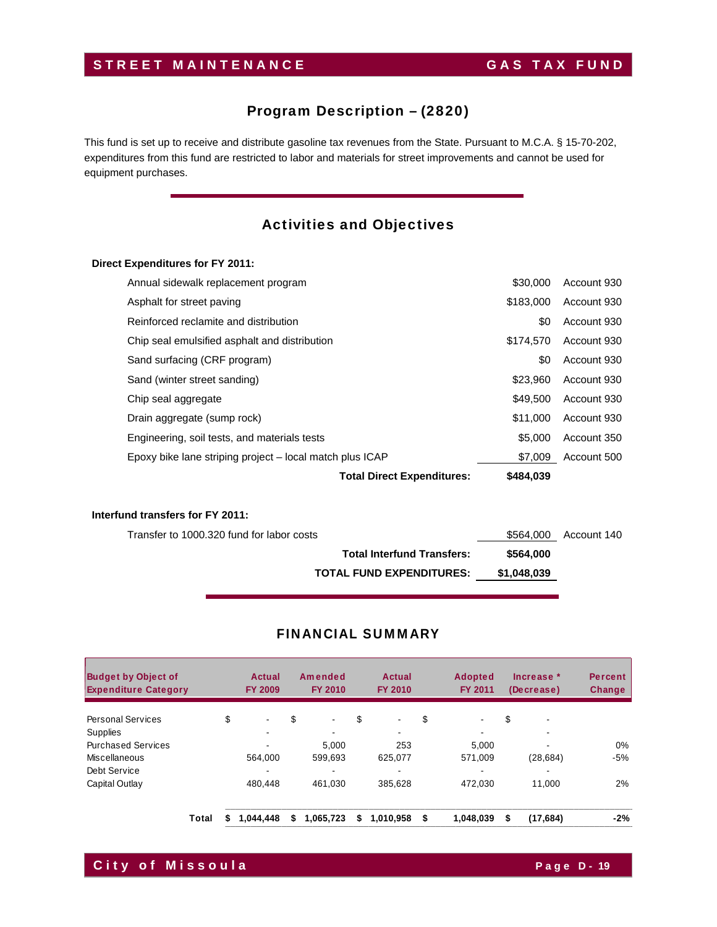# STREET MAINTENANCE GAS TAX FUND

# Program Description – (2820)

This fund is set up to receive and distribute gasoline tax revenues from the State. Pursuant to M.C.A. § 15-70-202, expenditures from this fund are restricted to labor and materials for street improvements and cannot be used for equipment purchases.

# Activities and Objectives

### **Direct Expenditures for FY 2011:**

|                                                          | <b>Total Direct Expenditures:</b> | \$484.039 |             |
|----------------------------------------------------------|-----------------------------------|-----------|-------------|
| Epoxy bike lane striping project – local match plus ICAP |                                   | \$7,009   | Account 500 |
| Engineering, soil tests, and materials tests             |                                   | \$5,000   | Account 350 |
| Drain aggregate (sump rock)                              |                                   | \$11,000  | Account 930 |
| Chip seal aggregate                                      |                                   | \$49,500  | Account 930 |
| Sand (winter street sanding)                             |                                   | \$23.960  | Account 930 |
| Sand surfacing (CRF program)                             |                                   | \$0       | Account 930 |
| Chip seal emulsified asphalt and distribution            |                                   | \$174.570 | Account 930 |
| Reinforced reclamite and distribution                    |                                   | \$0       | Account 930 |
| Asphalt for street paving                                |                                   | \$183,000 | Account 930 |
| Annual sidewalk replacement program                      |                                   | \$30,000  | Account 930 |

### **Interfund transfers for FY 2011:**

| \$564,000 Account 140 |             | Transfer to 1000.320 fund for labor costs |
|-----------------------|-------------|-------------------------------------------|
|                       | \$564.000   | <b>Total Interfund Transfers:</b>         |
|                       | \$1.048.039 | <b>TOTAL FUND EXPENDITURES:</b>           |

| <b>Budget by Object of</b><br><b>Expenditure Category</b> |       | Actual<br><b>FY 2009</b> |           | Amended<br><b>FY 2010</b> |           | Actual<br>FY 2010    | <b>Adopted</b><br><b>FY 2011</b> |           | Increase *<br>(Decrease) | <b>Percent</b><br>Change |       |
|-----------------------------------------------------------|-------|--------------------------|-----------|---------------------------|-----------|----------------------|----------------------------------|-----------|--------------------------|--------------------------|-------|
| <b>Personal Services</b>                                  |       | \$                       | $\sim$    | \$                        | ٠         | \$<br>$\blacksquare$ | \$                               |           | \$                       | $\blacksquare$           |       |
| <b>Supplies</b>                                           |       |                          |           |                           |           |                      |                                  |           |                          |                          |       |
| <b>Purchased Services</b>                                 |       |                          |           |                           | 5.000     | 253                  |                                  | 5.000     |                          | $\overline{\phantom{0}}$ | $0\%$ |
| Miscellaneous                                             |       |                          | 564.000   |                           | 599.693   | 625,077              |                                  | 571.009   |                          | (28, 684)                | $-5%$ |
| Debt Service                                              |       |                          |           |                           |           | $\,$                 |                                  |           |                          | $\overline{\phantom{0}}$ |       |
| Capital Outlay                                            |       |                          | 480.448   |                           | 461.030   | 385.628              |                                  | 472.030   |                          | 11.000                   | 2%    |
|                                                           | Total |                          | 1.044.448 | \$                        | 1,065,723 | \$<br>1.010.958      | \$                               | 1.048.039 | S                        | (17,684)                 | $-2%$ |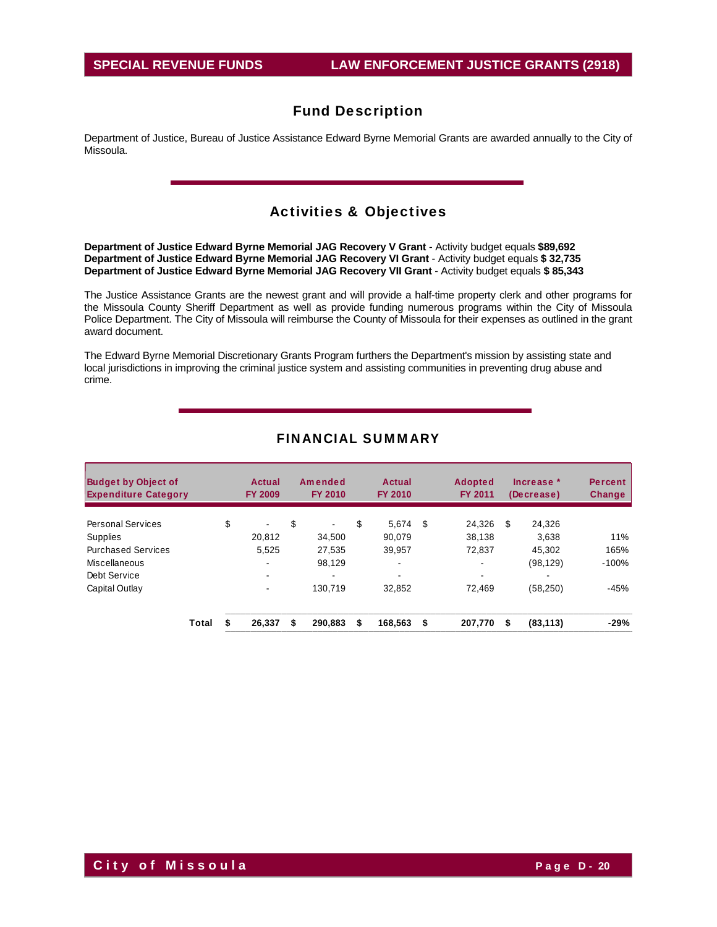Department of Justice, Bureau of Justice Assistance Edward Byrne Memorial Grants are awarded annually to the City of Missoula.

### Activities & Objectives

**Department of Justice Edward Byrne Memorial JAG Recovery V Grant** - Activity budget equals **\$89,692 Department of Justice Edward Byrne Memorial JAG Recovery VI Grant** - Activity budget equals **\$ 32,735 Department of Justice Edward Byrne Memorial JAG Recovery VII Grant** - Activity budget equals **\$ 85,343** 

The Justice Assistance Grants are the newest grant and will provide a half-time property clerk and other programs for the Missoula County Sheriff Department as well as provide funding numerous programs within the City of Missoula Police Department. The City of Missoula will reimburse the County of Missoula for their expenses as outlined in the grant award document.

The Edward Byrne Memorial Discretionary Grants Program furthers the Department's mission by assisting state and local jurisdictions in improving the criminal justice system and assisting communities in preventing drug abuse and crime.

| <b>Budget by Object of</b> | <b>Expenditure Category</b> |    | Actual<br><b>FY 2009</b> |    | Amended<br>FY 2010 |    | Actual<br><b>FY 2010</b> | <b>Adopted</b><br>FY 2011 |         | Increase *<br>(Decrease) |           | <b>Percent</b><br><b>Change</b> |
|----------------------------|-----------------------------|----|--------------------------|----|--------------------|----|--------------------------|---------------------------|---------|--------------------------|-----------|---------------------------------|
| <b>Personal Services</b>   |                             | \$ | $\blacksquare$           | \$ | ۰.                 | \$ | 5.674                    | \$                        | 24,326  | \$                       | 24,326    |                                 |
| Supplies                   |                             |    | 20.812                   |    | 34.500             |    | 90.079                   |                           | 38,138  |                          | 3.638     | 11%                             |
| <b>Purchased Services</b>  |                             |    | 5,525                    |    | 27.535             |    | 39,957                   |                           | 72.837  |                          | 45.302    | 165%                            |
| Miscellaneous              |                             |    |                          |    | 98,129             |    | $\overline{\phantom{0}}$ |                           | ٠       |                          | (98, 129) | $-100%$                         |
| Debt Service               |                             |    | ۰.                       |    |                    |    | $\sim$                   |                           | ۰       |                          |           |                                 |
| Capital Outlay             |                             |    |                          |    | 130.719            |    | 32.852                   |                           | 72.469  |                          | (58, 250) | $-45%$                          |
|                            | Total                       |    | 26.337                   | \$ | 290.883            | \$ | 168.563                  | \$                        | 207.770 | S                        | (83, 113) | $-29%$                          |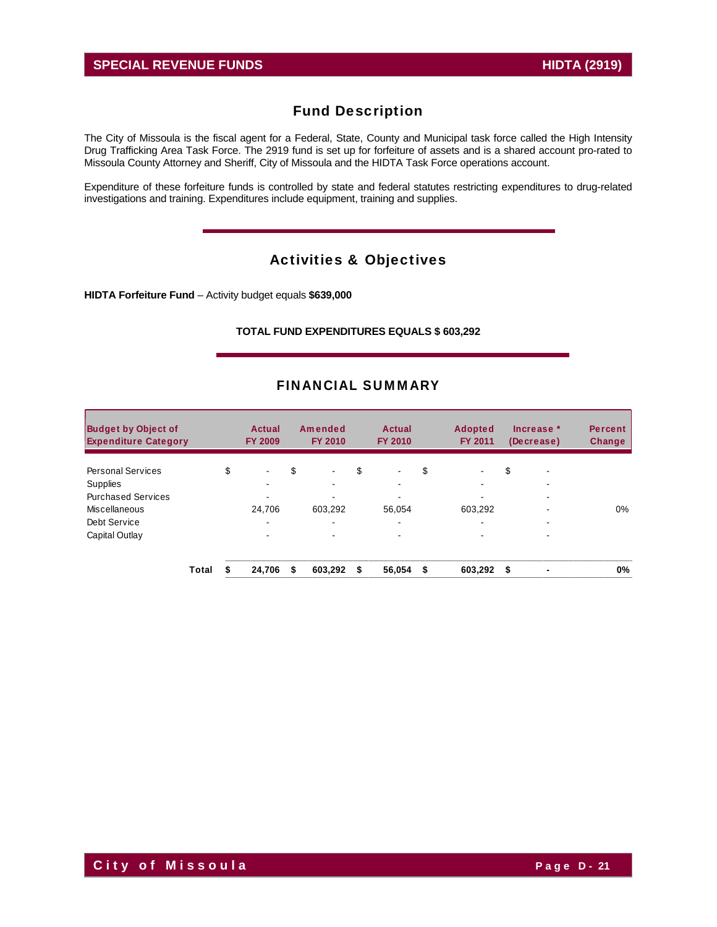The City of Missoula is the fiscal agent for a Federal, State, County and Municipal task force called the High Intensity Drug Trafficking Area Task Force. The 2919 fund is set up for forfeiture of assets and is a shared account pro-rated to Missoula County Attorney and Sheriff, City of Missoula and the HIDTA Task Force operations account.

Expenditure of these forfeiture funds is controlled by state and federal statutes restricting expenditures to drug-related investigations and training. Expenditures include equipment, training and supplies.

# Activities & Objectives

**HIDTA Forfeiture Fund** – Activity budget equals **\$639,000** 

### **TOTAL FUND EXPENDITURES EQUALS \$ 603,292**

| <b>Budget by Object of</b><br><b>Expenditure Category</b> |       |    | Actual<br><b>FY 2009</b> |    | Amended<br><b>FY 2010</b> |    | <b>Actual</b><br><b>FY 2010</b> | <b>Adopted</b><br><b>FY 2011</b> | Increase *<br>(Decrease) | <b>Percent</b><br>Change |
|-----------------------------------------------------------|-------|----|--------------------------|----|---------------------------|----|---------------------------------|----------------------------------|--------------------------|--------------------------|
| <b>Personal Services</b>                                  |       | \$ | $\blacksquare$           | \$ | $\blacksquare$            | \$ | $\blacksquare$                  | \$                               | \$<br>-                  |                          |
| Supplies                                                  |       |    | -                        |    |                           |    |                                 |                                  |                          |                          |
| <b>Purchased Services</b>                                 |       |    |                          |    |                           |    |                                 |                                  |                          |                          |
| Miscellaneous                                             |       |    | 24.706                   |    | 603,292                   |    | 56.054                          | 603,292                          |                          | $0\%$                    |
| Debt Service                                              |       |    | -                        |    | $\blacksquare$            |    |                                 | $\blacksquare$                   | -                        |                          |
| Capital Outlay                                            |       |    | ۰                        |    |                           |    |                                 |                                  | -                        |                          |
|                                                           | Total | ፍ  | 24.706                   | S  | 603,292                   | S  | 56,054                          | \$<br>603,292                    | \$                       | 0%                       |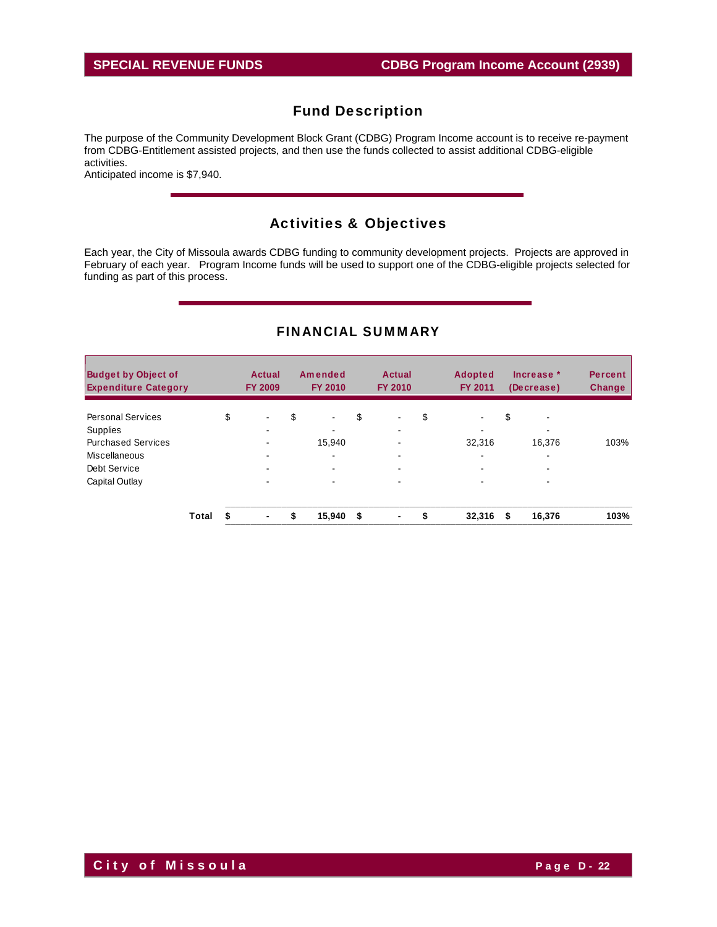The purpose of the Community Development Block Grant (CDBG) Program Income account is to receive re-payment from CDBG-Entitlement assisted projects, and then use the funds collected to assist additional CDBG-eligible activities.

Anticipated income is \$7,940.

# Activities & Objectives

Each year, the City of Missoula awards CDBG funding to community development projects. Projects are approved in February of each year. Program Income funds will be used to support one of the CDBG-eligible projects selected for funding as part of this process.

| <b>Budget by Object of</b><br><b>Expenditure Category</b> |       | Actual<br><b>FY 2009</b> | Amended<br><b>FY 2010</b> |    | <b>Actual</b><br><b>FY 2010</b>                      | <b>Adopted</b><br><b>FY 2011</b> | Increase *<br>(Decrease)           | <b>Percent</b><br><b>Change</b> |
|-----------------------------------------------------------|-------|--------------------------|---------------------------|----|------------------------------------------------------|----------------------------------|------------------------------------|---------------------------------|
| <b>Personal Services</b>                                  |       | \$<br>$\blacksquare$     | \$<br>$\blacksquare$      | \$ | $\sim$                                               | \$<br>$\blacksquare$             | \$<br>$\overline{\phantom{0}}$     |                                 |
| Supplies<br><b>Purchased Services</b>                     |       |                          | 15.940                    |    | $\overline{\phantom{0}}$<br>$\overline{\phantom{a}}$ | ۰<br>32,316                      | $\overline{\phantom{0}}$<br>16.376 | 103%                            |
| Miscellaneous                                             |       |                          | ۰.                        |    | -                                                    | ۰                                | ۰                                  |                                 |
| Debt Service                                              |       | ۰.                       |                           |    | $\sim$                                               | ۰                                | $\overline{\phantom{a}}$           |                                 |
| Capital Outlay                                            |       | ۰                        |                           |    | $\overline{\phantom{a}}$                             | -                                | $\overline{\phantom{0}}$           |                                 |
|                                                           | Total | ٠                        | \$<br>15,940              | S  | $\blacksquare$                                       | \$<br>32,316                     | \$<br>16,376                       | 103%                            |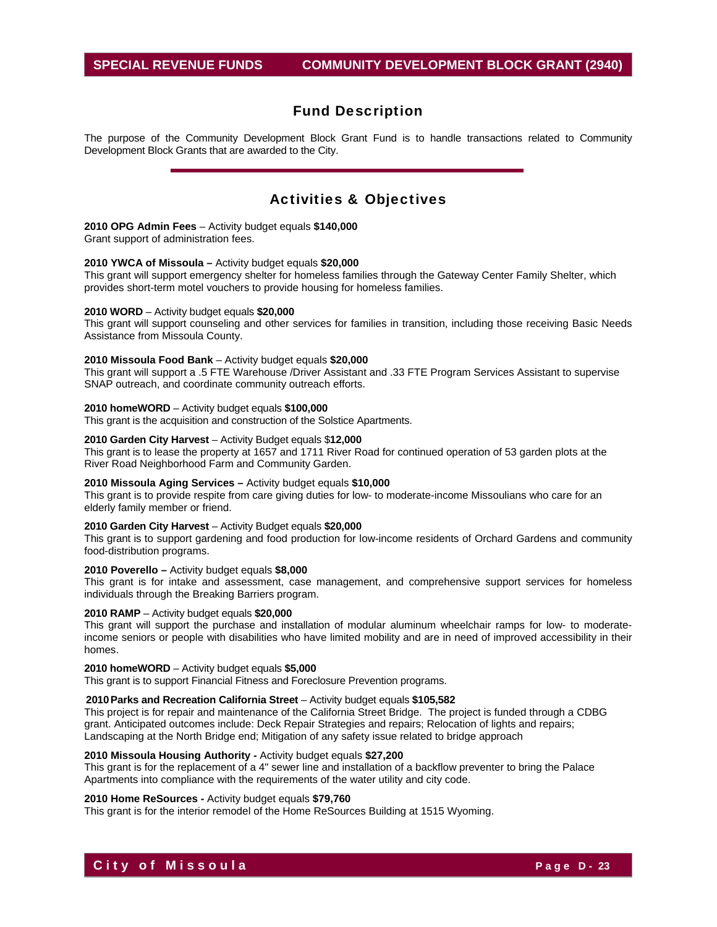The purpose of the Community Development Block Grant Fund is to handle transactions related to Community Development Block Grants that are awarded to the City.

### Activities & Objectives

#### **2010 OPG Admin Fees** – Activity budget equals **\$140,000**

Grant support of administration fees.

#### **2010 YWCA of Missoula –** Activity budget equals **\$20,000**

This grant will support emergency shelter for homeless families through the Gateway Center Family Shelter, which provides short-term motel vouchers to provide housing for homeless families.

#### **2010 WORD** – Activity budget equals **\$20,000**

This grant will support counseling and other services for families in transition, including those receiving Basic Needs Assistance from Missoula County.

#### **2010 Missoula Food Bank** – Activity budget equals **\$20,000**

This grant will support a .5 FTE Warehouse /Driver Assistant and .33 FTE Program Services Assistant to supervise SNAP outreach, and coordinate community outreach efforts.

#### **2010 homeWORD** – Activity budget equals **\$100,000**

This grant is the acquisition and construction of the Solstice Apartments.

#### **2010 Garden City Harvest** – Activity Budget equals \$**12,000**

This grant is to lease the property at 1657 and 1711 River Road for continued operation of 53 garden plots at the River Road Neighborhood Farm and Community Garden.

#### **2010 Missoula Aging Services –** Activity budget equals **\$10,000**

This grant is to provide respite from care giving duties for low- to moderate-income Missoulians who care for an elderly family member or friend.

#### **2010 Garden City Harvest** – Activity Budget equals **\$20,000**

This grant is to support gardening and food production for low-income residents of Orchard Gardens and community food-distribution programs.

### **2010 Poverello –** Activity budget equals **\$8,000**

This grant is for intake and assessment, case management, and comprehensive support services for homeless individuals through the Breaking Barriers program.

#### **2010 RAMP** – Activity budget equals **\$20,000**

This grant will support the purchase and installation of modular aluminum wheelchair ramps for low- to moderateincome seniors or people with disabilities who have limited mobility and are in need of improved accessibility in their homes.

#### **2010 homeWORD** – Activity budget equals **\$5,000**

This grant is to support Financial Fitness and Foreclosure Prevention programs.

#### **2010 Parks and Recreation California Street** – Activity budget equals **\$105,582**

This project is for repair and maintenance of the California Street Bridge. The project is funded through a CDBG grant. Anticipated outcomes include: Deck Repair Strategies and repairs; Relocation of lights and repairs; Landscaping at the North Bridge end; Mitigation of any safety issue related to bridge approach

#### **2010 Missoula Housing Authority -** Activity budget equals **\$27,200**

This grant is for the replacement of a 4" sewer line and installation of a backflow preventer to bring the Palace Apartments into compliance with the requirements of the water utility and city code.

#### **2010 Home ReSources -** Activity budget equals **\$79,760**

This grant is for the interior remodel of the Home ReSources Building at 1515 Wyoming.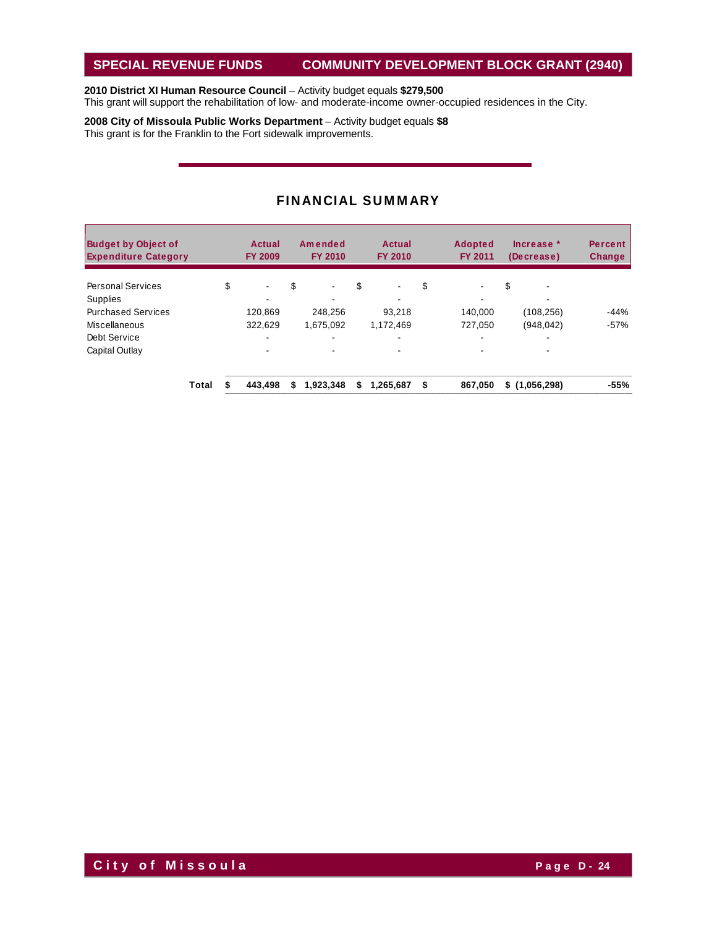### **SPECIAL REVENUE FUNDS COMMUNITY DEVELOPMENT BLOCK GRANT (2940)**

### **2010 District XI Human Resource Council** – Activity budget equals **\$279,500**

This grant will support the rehabilitation of low- and moderate-income owner-occupied residences in the City.

**2008 City of Missoula Public Works Department** – Activity budget equals **\$8** This grant is for the Franklin to the Fort sidewalk improvements.

| <b>Budget by Object of</b><br><b>Expenditure Category</b> |       | Actual<br><b>FY 2009</b> | Amended<br><b>FY 2010</b> |    | Actual<br><b>FY 2010</b> | <b>Adopted</b><br><b>FY 2011</b> | Increase *<br>(Decrease) | <b>Percent</b><br>Change |
|-----------------------------------------------------------|-------|--------------------------|---------------------------|----|--------------------------|----------------------------------|--------------------------|--------------------------|
| <b>Personal Services</b>                                  |       | \$<br>$\blacksquare$     | \$                        | \$ | $\blacksquare$           | \$<br>۰                          | \$                       |                          |
| <b>Supplies</b>                                           |       |                          |                           |    |                          |                                  |                          |                          |
| <b>Purchased Services</b>                                 |       | 120,869                  | 248.256                   |    | 93.218                   | 140,000                          | (108, 256)               | $-44%$                   |
| Miscellaneous                                             |       | 322.629                  | 1.675.092                 |    | 1.172.469                | 727.050                          | (948, 042)               | $-57%$                   |
| Debt Service                                              |       | $\overline{\phantom{a}}$ |                           |    | $\blacksquare$           |                                  |                          |                          |
| Capital Outlay                                            |       | $\blacksquare$           |                           |    | $\blacksquare$           |                                  |                          |                          |
|                                                           | Total | 443.498                  | \$<br>1,923,348           | S  | 1.265.687                | \$<br>867.050                    | \$(1,056,298)            | $-55%$                   |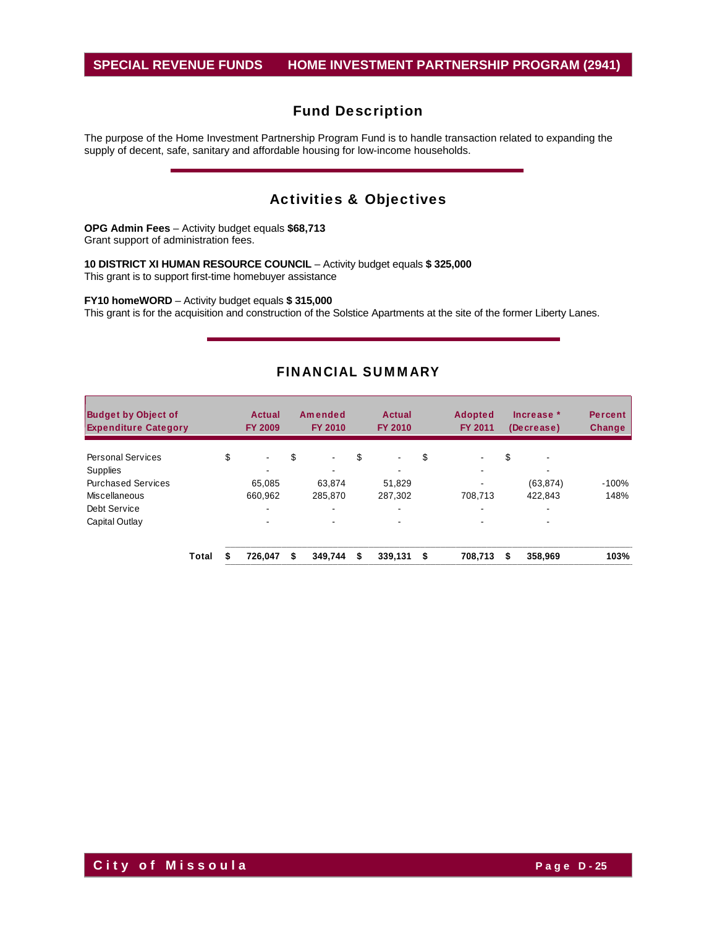### **SPECIAL REVENUE FUNDS HOME INVESTMENT PARTNERSHIP PROGRAM (2941)**

# Fund Description

The purpose of the Home Investment Partnership Program Fund is to handle transaction related to expanding the supply of decent, safe, sanitary and affordable housing for low-income households.

# Activities & Objectives

**OPG Admin Fees** – Activity budget equals **\$68,713**  Grant support of administration fees.

**10 DISTRICT XI HUMAN RESOURCE COUNCIL** – Activity budget equals **\$ 325,000**  This grant is to support first-time homebuyer assistance

**FY10 homeWORD** – Activity budget equals **\$ 315,000** 

This grant is for the acquisition and construction of the Solstice Apartments at the site of the former Liberty Lanes.

| <b>Budget by Object of</b><br><b>Expenditure Category</b> |       | Actual<br><b>FY 2009</b> | Amended<br><b>FY 2010</b> |    | <b>Actual</b><br><b>FY 2010</b> | <b>Adopted</b><br><b>FY 2011</b> | Increase $*$<br>(Decrease) | <b>Percent</b><br><b>Change</b> |
|-----------------------------------------------------------|-------|--------------------------|---------------------------|----|---------------------------------|----------------------------------|----------------------------|---------------------------------|
| <b>Personal Services</b>                                  |       | \$<br>$\blacksquare$     | \$<br>$\blacksquare$      | \$ | $\blacksquare$                  | \$<br>٠                          | \$<br>$\blacksquare$       |                                 |
| Supplies                                                  |       |                          |                           |    |                                 | $\overline{\phantom{0}}$         |                            |                                 |
| <b>Purchased Services</b>                                 |       | 65.085                   | 63,874                    |    | 51.829                          |                                  | (63, 874)                  | $-100%$                         |
| Miscellaneous                                             |       | 660.962                  | 285.870                   |    | 287.302                         | 708.713                          | 422.843                    | 148%                            |
| Debt Service                                              |       | ۰                        | $\blacksquare$            |    | $\overline{\phantom{a}}$        | $\overline{\phantom{0}}$         | -                          |                                 |
| Capital Outlay                                            |       | ۰                        |                           |    |                                 |                                  |                            |                                 |
|                                                           | Total | 726.047                  | \$<br>349.744             | S  | 339,131                         | \$<br>708.713                    | \$<br>358,969              | 103%                            |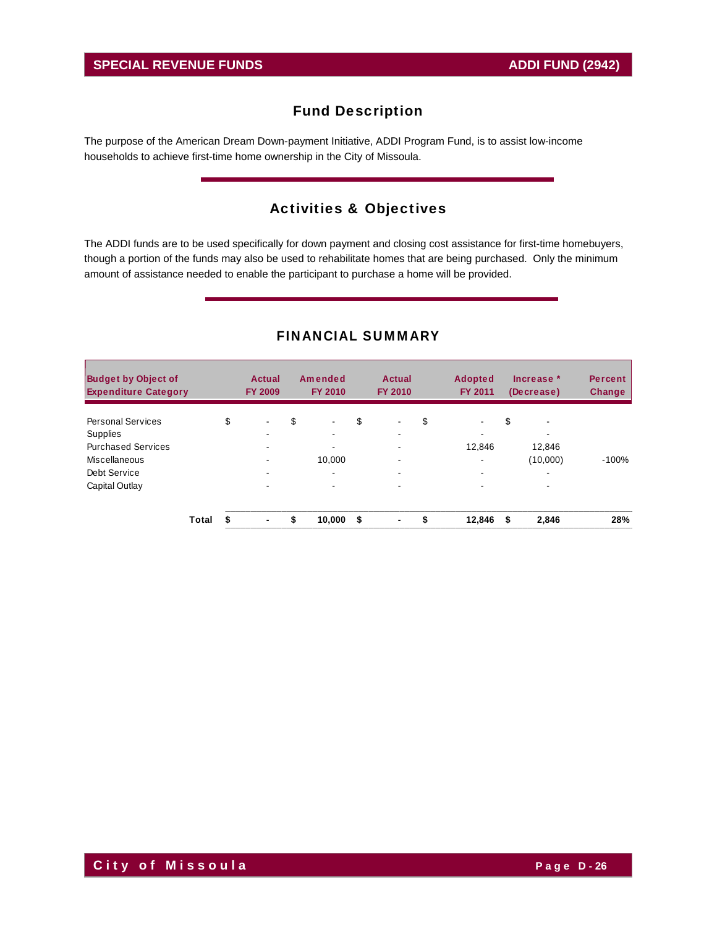The purpose of the American Dream Down-payment Initiative, ADDI Program Fund, is to assist low-income households to achieve first-time home ownership in the City of Missoula.

# Activities & Objectives

The ADDI funds are to be used specifically for down payment and closing cost assistance for first-time homebuyers, though a portion of the funds may also be used to rehabilitate homes that are being purchased. Only the minimum amount of assistance needed to enable the participant to purchase a home will be provided.

| <b>Budget by Object of</b><br><b>Expenditure Category</b> |       |    | Actual<br><b>FY 2009</b> | Amended<br><b>FY 2010</b> | <b>Actual</b><br><b>FY 2010</b> | <b>Adopted</b><br><b>FY 2011</b> |    | Increase $*$<br>(Decrease) | <b>Percent</b><br><b>Change</b> |
|-----------------------------------------------------------|-------|----|--------------------------|---------------------------|---------------------------------|----------------------------------|----|----------------------------|---------------------------------|
| <b>Personal Services</b>                                  |       | \$ | ۰                        | \$<br>۰.                  | \$<br>$\blacksquare$            | \$<br>٠                          | \$ | $\blacksquare$             |                                 |
| Supplies                                                  |       |    | ۰                        | $\blacksquare$            |                                 |                                  |    |                            |                                 |
| <b>Purchased Services</b>                                 |       |    |                          |                           |                                 | 12,846                           |    | 12,846                     |                                 |
| Miscellaneous                                             |       |    |                          | 10.000                    | $\overline{\phantom{a}}$        | $\blacksquare$                   |    | (10,000)                   | $-100%$                         |
| Debt Service                                              |       |    | ۰                        | ۰.                        | $\sim$                          | $\blacksquare$                   |    | ۰                          |                                 |
| Capital Outlay                                            |       |    | ۰                        | $\overline{\phantom{a}}$  | $\overline{\phantom{a}}$        |                                  |    | -                          |                                 |
|                                                           | Total | S  | ٠                        | \$<br>10,000              | \$<br>$\blacksquare$            | \$<br>12,846                     | £. | 2,846                      | 28%                             |

### FINANCIAL SUMMARY

**City of Missoula City of Missoula**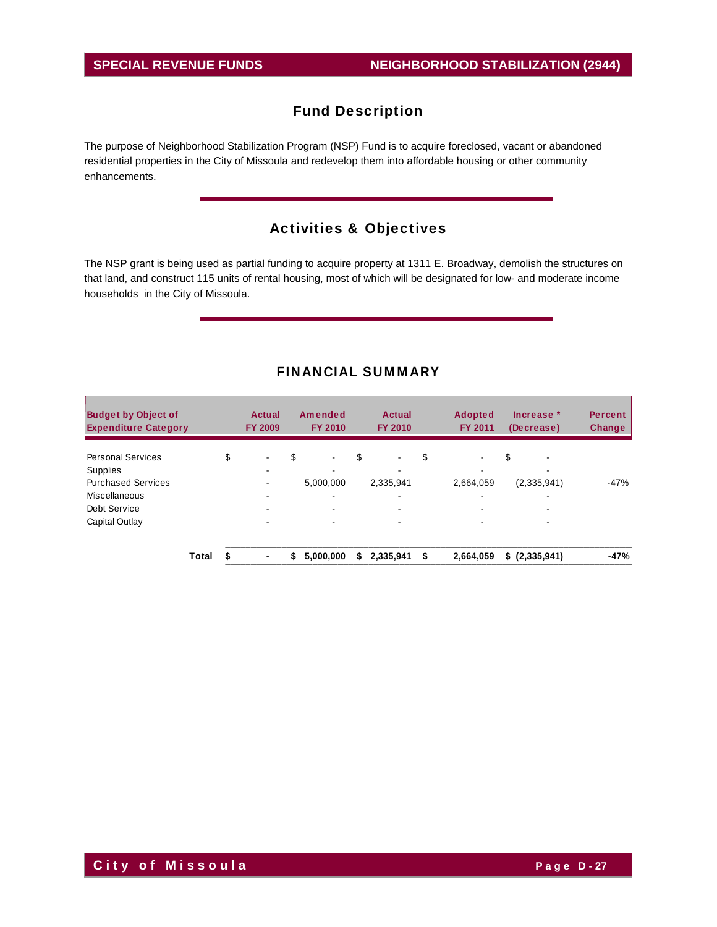The purpose of Neighborhood Stabilization Program (NSP) Fund is to acquire foreclosed, vacant or abandoned residential properties in the City of Missoula and redevelop them into affordable housing or other community enhancements.

# Activities & Objectives

The NSP grant is being used as partial funding to acquire property at 1311 E. Broadway, demolish the structures on that land, and construct 115 units of rental housing, most of which will be designated for low- and moderate income households in the City of Missoula.

| <b>Budget by Object of</b><br><b>Expenditure Category</b> |       |    | Actual<br><b>FY 2009</b> | Amended<br><b>FY 2010</b> | <b>Actual</b><br><b>FY 2010</b> | <b>Adopted</b><br><b>FY 2011</b> | Increase $*$<br>(Decrease) | <b>Percent</b><br>Change |
|-----------------------------------------------------------|-------|----|--------------------------|---------------------------|---------------------------------|----------------------------------|----------------------------|--------------------------|
| <b>Personal Services</b>                                  |       | \$ | ۰                        | \$<br>$\blacksquare$      | \$<br>٠                         | \$<br>$\blacksquare$             | \$<br>$\blacksquare$       |                          |
| Supplies                                                  |       |    | ۰.                       |                           |                                 |                                  |                            |                          |
| <b>Purchased Services</b>                                 |       |    |                          | 5,000,000                 | 2,335,941                       | 2,664,059                        | (2,335,941)                | $-47%$                   |
| Miscellaneous                                             |       |    | -                        | $\blacksquare$            | $\overline{\phantom{0}}$        | $\overline{\phantom{0}}$         | -                          |                          |
| Debt Service                                              |       |    | ۰                        |                           |                                 |                                  |                            |                          |
| Capital Outlay                                            |       |    |                          |                           |                                 |                                  |                            |                          |
|                                                           | Total | S  | ۰.                       | \$<br>5,000,000           | \$<br>2,335,941                 | \$<br>2.664.059                  | \$(2,335,941)              | $-47%$                   |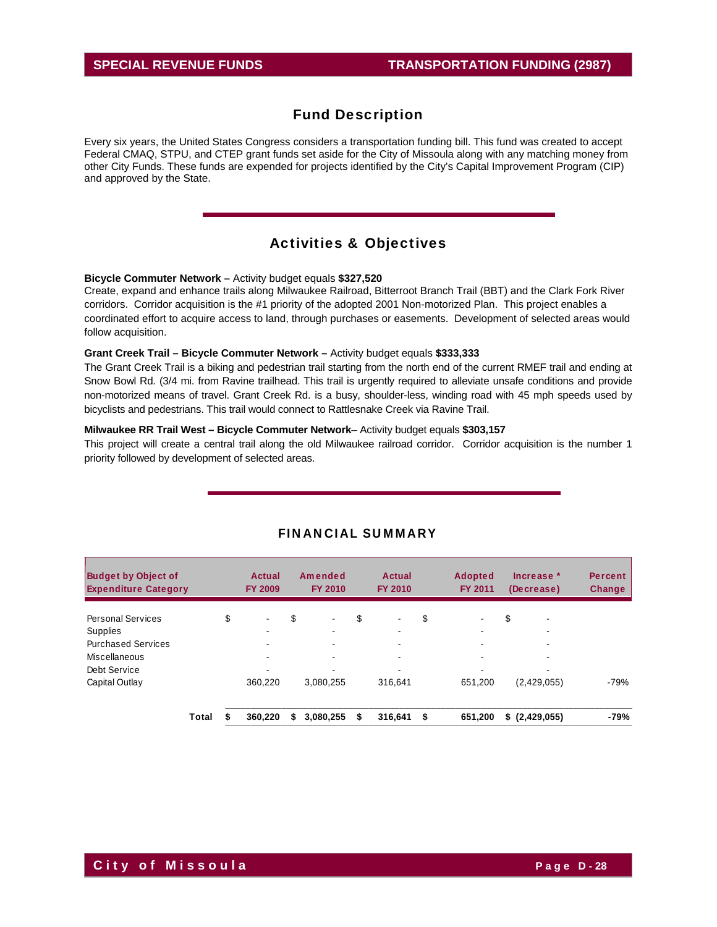Every six years, the United States Congress considers a transportation funding bill. This fund was created to accept Federal CMAQ, STPU, and CTEP grant funds set aside for the City of Missoula along with any matching money from other City Funds. These funds are expended for projects identified by the City's Capital Improvement Program (CIP) and approved by the State.

# Activities & Objectives

**Bicycle Commuter Network –** Activity budget equals **\$327,520** 

Create, expand and enhance trails along Milwaukee Railroad, Bitterroot Branch Trail (BBT) and the Clark Fork River corridors. Corridor acquisition is the #1 priority of the adopted 2001 Non-motorized Plan. This project enables a coordinated effort to acquire access to land, through purchases or easements. Development of selected areas would follow acquisition.

#### **Grant Creek Trail – Bicycle Commuter Network –** Activity budget equals **\$333,333**

The Grant Creek Trail is a biking and pedestrian trail starting from the north end of the current RMEF trail and ending at Snow Bowl Rd. (3/4 mi. from Ravine trailhead. This trail is urgently required to alleviate unsafe conditions and provide non-motorized means of travel. Grant Creek Rd. is a busy, shoulder-less, winding road with 45 mph speeds used by bicyclists and pedestrians. This trail would connect to Rattlesnake Creek via Ravine Trail.

#### **Milwaukee RR Trail West – Bicycle Commuter Network**– Activity budget equals **\$303,157**

This project will create a central trail along the old Milwaukee railroad corridor. Corridor acquisition is the number 1 priority followed by development of selected areas.

| <b>Budget by Object of</b><br><b>Expenditure Category</b> |       | Actual<br><b>FY 2009</b> | Amended<br><b>FY 2010</b> | Actual<br><b>FY 2010</b> | <b>Adopted</b><br><b>FY 2011</b> | Increase *<br>(Decrease) | <b>Percent</b><br>Change |
|-----------------------------------------------------------|-------|--------------------------|---------------------------|--------------------------|----------------------------------|--------------------------|--------------------------|
| <b>Personal Services</b>                                  |       | \$<br>$\blacksquare$     | \$<br>$\blacksquare$      | \$<br>$\blacksquare$     | \$<br>$\blacksquare$             | \$                       |                          |
| <b>Supplies</b>                                           |       |                          |                           |                          |                                  |                          |                          |
| <b>Purchased Services</b>                                 |       |                          |                           |                          |                                  | ۰                        |                          |
| Miscellaneous                                             |       |                          | -                         | $\overline{\phantom{0}}$ | -                                | -                        |                          |
| Debt Service                                              |       |                          |                           |                          |                                  |                          |                          |
| Capital Outlay                                            |       | 360.220                  | 3,080,255                 | 316.641                  | 651.200                          | (2,429,055)              | $-79%$                   |
|                                                           | Total | 360.220                  | \$<br>3.080.255           | \$<br>316.641            | \$<br>651.200                    | \$(2,429,055)            | -79%                     |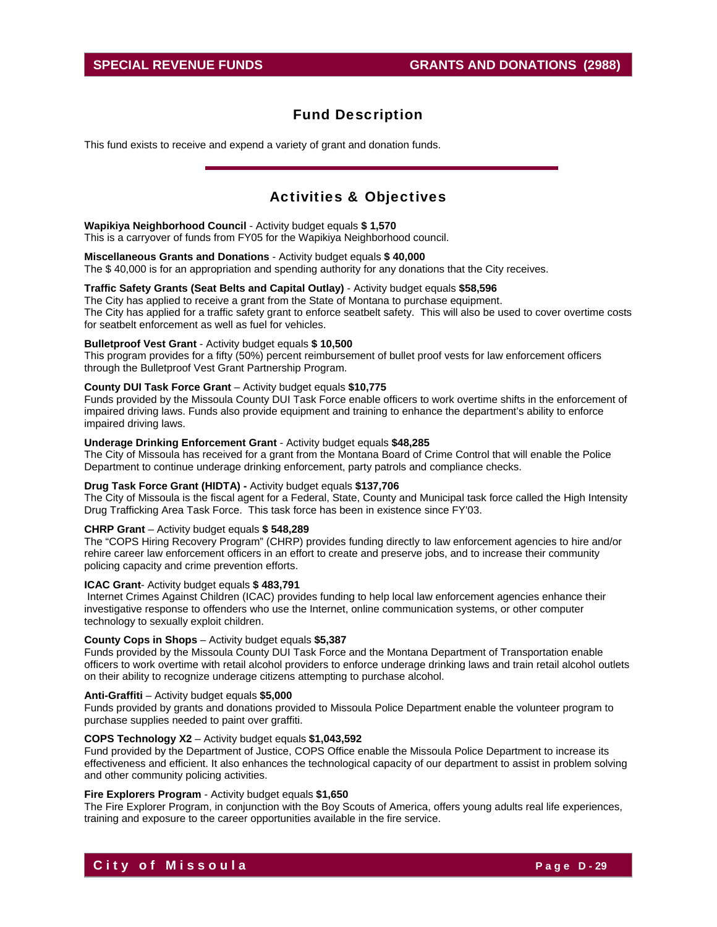This fund exists to receive and expend a variety of grant and donation funds.

# Activities & Objectives

#### **Wapikiya Neighborhood Council** - Activity budget equals **\$ 1,570**

This is a carryover of funds from FY05 for the Wapikiya Neighborhood council.

#### **Miscellaneous Grants and Donations** - Activity budget equals **\$ 40,000**

The \$ 40,000 is for an appropriation and spending authority for any donations that the City receives.

### **Traffic Safety Grants (Seat Belts and Capital Outlay)** - Activity budget equals **\$58,596**

 The City has applied to receive a grant from the State of Montana to purchase equipment. The City has applied for a traffic safety grant to enforce seatbelt safety. This will also be used to cover overtime costs for seatbelt enforcement as well as fuel for vehicles.

#### **Bulletproof Vest Grant** - Activity budget equals **\$ 10,500**

This program provides for a fifty (50%) percent reimbursement of bullet proof vests for law enforcement officers through the Bulletproof Vest Grant Partnership Program.

### **County DUI Task Force Grant** – Activity budget equals **\$10,775**

Funds provided by the Missoula County DUI Task Force enable officers to work overtime shifts in the enforcement of impaired driving laws. Funds also provide equipment and training to enhance the department's ability to enforce impaired driving laws.

#### **Underage Drinking Enforcement Grant** - Activity budget equals **\$48,285**

The City of Missoula has received for a grant from the Montana Board of Crime Control that will enable the Police Department to continue underage drinking enforcement, party patrols and compliance checks.

#### **Drug Task Force Grant (HIDTA) -** Activity budget equals **\$137,706**

The City of Missoula is the fiscal agent for a Federal, State, County and Municipal task force called the High Intensity Drug Trafficking Area Task Force. This task force has been in existence since FY'03.

#### **CHRP Grant** – Activity budget equals **\$ 548,289**

The "COPS Hiring Recovery Program" (CHRP) provides funding directly to law enforcement agencies to hire and/or rehire career law enforcement officers in an effort to create and preserve jobs, and to increase their community policing capacity and crime prevention efforts.

#### **ICAC Grant**- Activity budget equals **\$ 483,791**

 Internet Crimes Against Children (ICAC) provides funding to help local law enforcement agencies enhance their investigative response to offenders who use the Internet, online communication systems, or other computer technology to sexually exploit children.

#### **County Cops in Shops** – Activity budget equals **\$5,387**

Funds provided by the Missoula County DUI Task Force and the Montana Department of Transportation enable officers to work overtime with retail alcohol providers to enforce underage drinking laws and train retail alcohol outlets on their ability to recognize underage citizens attempting to purchase alcohol.

#### **Anti-Graffiti** – Activity budget equals **\$5,000**

Funds provided by grants and donations provided to Missoula Police Department enable the volunteer program to purchase supplies needed to paint over graffiti.

#### **COPS Technology X2** – Activity budget equals **\$1,043,592**

Fund provided by the Department of Justice, COPS Office enable the Missoula Police Department to increase its effectiveness and efficient. It also enhances the technological capacity of our department to assist in problem solving and other community policing activities.

#### **Fire Explorers Program** - Activity budget equals **\$1,650**

The Fire Explorer Program, in conjunction with the Boy Scouts of America, offers young adults real life experiences, training and exposure to the career opportunities available in the fire service.

# **City of Missoula** Page D-29 **Page D-29**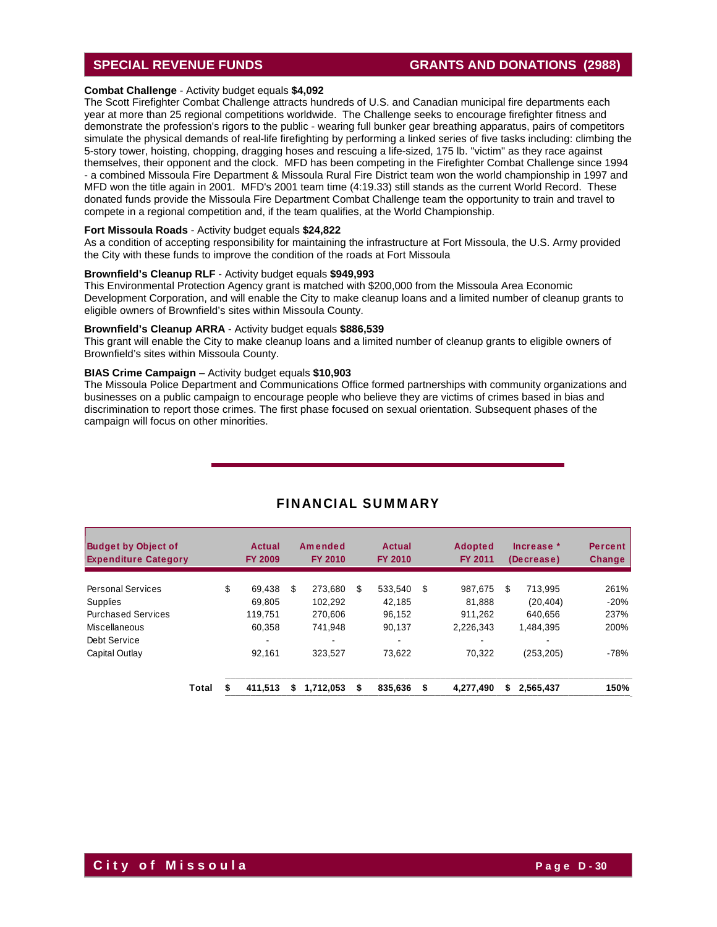### **SPECIAL REVENUE FUNDS GRANTS AND DONATIONS (2988)**

#### **Combat Challenge** - Activity budget equals **\$4,092**

The Scott Firefighter Combat Challenge attracts hundreds of U.S. and Canadian municipal fire departments each year at more than 25 regional competitions worldwide. The Challenge seeks to encourage firefighter fitness and demonstrate the profession's rigors to the public - wearing full bunker gear breathing apparatus, pairs of competitors simulate the physical demands of real-life firefighting by performing a linked series of five tasks including: climbing the 5-story tower, hoisting, chopping, dragging hoses and rescuing a life-sized, 175 lb. "victim" as they race against themselves, their opponent and the clock. MFD has been competing in the Firefighter Combat Challenge since 1994 - a combined Missoula Fire Department & Missoula Rural Fire District team won the world championship in 1997 and MFD won the title again in 2001. MFD's 2001 team time (4:19.33) still stands as the current World Record. These donated funds provide the Missoula Fire Department Combat Challenge team the opportunity to train and travel to compete in a regional competition and, if the team qualifies, at the World Championship.

#### **Fort Missoula Roads** - Activity budget equals **\$24,822**

As a condition of accepting responsibility for maintaining the infrastructure at Fort Missoula, the U.S. Army provided the City with these funds to improve the condition of the roads at Fort Missoula

#### **Brownfield's Cleanup RLF** - Activity budget equals **\$949,993**

This Environmental Protection Agency grant is matched with \$200,000 from the Missoula Area Economic Development Corporation, and will enable the City to make cleanup loans and a limited number of cleanup grants to eligible owners of Brownfield's sites within Missoula County.

#### **Brownfield's Cleanup ARRA** - Activity budget equals **\$886,539**

This grant will enable the City to make cleanup loans and a limited number of cleanup grants to eligible owners of Brownfield's sites within Missoula County.

#### **BIAS Crime Campaign** – Activity budget equals **\$10,903**

 The Missoula Police Department and Communications Office formed partnerships with community organizations and businesses on a public campaign to encourage people who believe they are victims of crimes based in bias and discrimination to report those crimes. The first phase focused on sexual orientation. Subsequent phases of the campaign will focus on other minorities.

| <b>Budget by Object of</b><br><b>Expenditure Category</b> |       | Actual<br><b>FY 2009</b> |   | Amended<br><b>FY 2010</b> |   | Actual<br><b>FY 2010</b> |    | <b>Adopted</b><br><b>FY 2011</b> | Increase *<br>(Decrease) | <b>Percent</b><br>Change |
|-----------------------------------------------------------|-------|--------------------------|---|---------------------------|---|--------------------------|----|----------------------------------|--------------------------|--------------------------|
| <b>Personal Services</b>                                  |       | \$<br>69.438             | S | 273.680                   | S | 533.540                  | S  | 987,675                          | \$<br>713.995            | 261%                     |
| Supplies                                                  |       | 69.805                   |   | 102.292                   |   | 42.185                   |    | 81.888                           | (20.404)                 | $-20%$                   |
| <b>Purchased Services</b>                                 |       | 119.751                  |   | 270.606                   |   | 96,152                   |    | 911.262                          | 640.656                  | 237%                     |
| Miscellaneous                                             |       | 60.358                   |   | 741.948                   |   | 90.137                   |    | 2.226.343                        | 1.484.395                | 200%                     |
| Debt Service                                              |       |                          |   |                           |   | $\blacksquare$           |    |                                  |                          |                          |
| Capital Outlay                                            |       | 92.161                   |   | 323.527                   |   | 73.622                   |    | 70.322                           | (253, 205)               | $-78%$                   |
|                                                           | Total | 411,513                  | S | 1,712,053                 | S | 835,636                  | \$ | 4.277.490                        | \$<br>2,565,437          | 150%                     |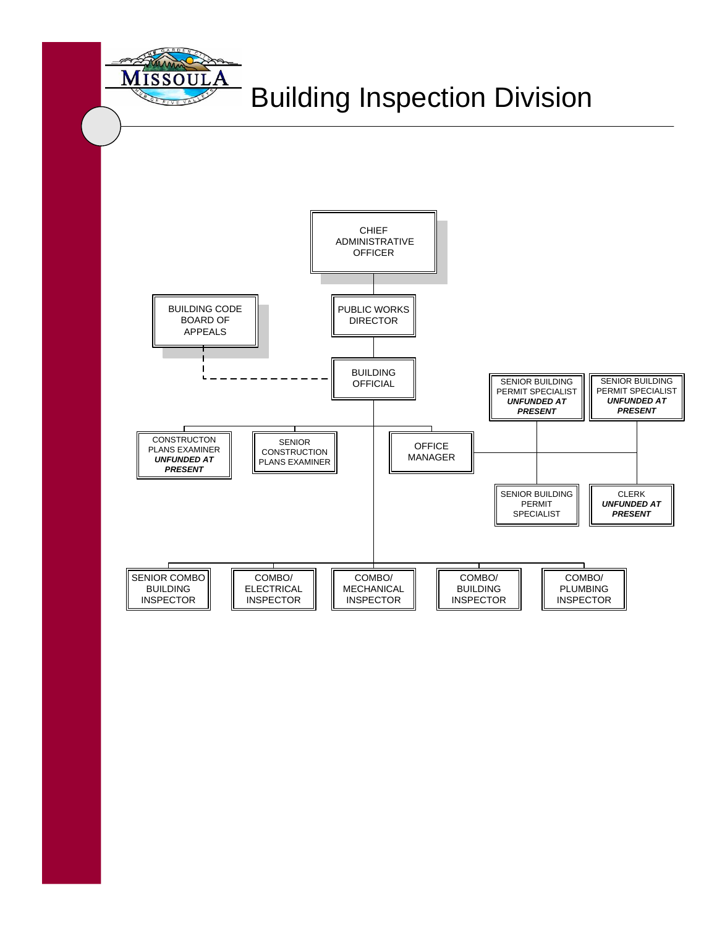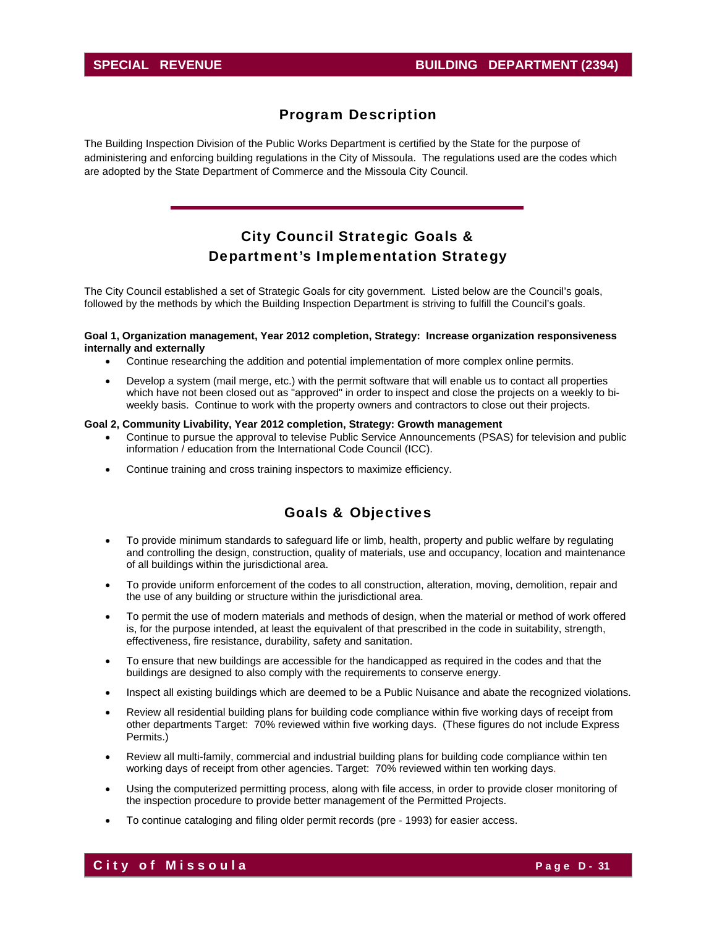### Program Description

The Building Inspection Division of the Public Works Department is certified by the State for the purpose of administering and enforcing building regulations in the City of Missoula. The regulations used are the codes which are adopted by the State Department of Commerce and the Missoula City Council.

# City Council Strategic Goals & Department's Implementation Strategy

The City Council established a set of Strategic Goals for city government. Listed below are the Council's goals, followed by the methods by which the Building Inspection Department is striving to fulfill the Council's goals.

#### **Goal 1, Organization management, Year 2012 completion, Strategy: Increase organization responsiveness internally and externally**

- Continue researching the addition and potential implementation of more complex online permits.
- Develop a system (mail merge, etc.) with the permit software that will enable us to contact all properties which have not been closed out as "approved" in order to inspect and close the projects on a weekly to biweekly basis. Continue to work with the property owners and contractors to close out their projects.

#### **Goal 2, Community Livability, Year 2012 completion, Strategy: Growth management**

- Continue to pursue the approval to televise Public Service Announcements (PSAS) for television and public information / education from the International Code Council (ICC).
- Continue training and cross training inspectors to maximize efficiency.

### Goals & Objectives

- To provide minimum standards to safeguard life or limb, health, property and public welfare by regulating and controlling the design, construction, quality of materials, use and occupancy, location and maintenance of all buildings within the jurisdictional area.
- To provide uniform enforcement of the codes to all construction, alteration, moving, demolition, repair and the use of any building or structure within the jurisdictional area.
- To permit the use of modern materials and methods of design, when the material or method of work offered is, for the purpose intended, at least the equivalent of that prescribed in the code in suitability, strength, effectiveness, fire resistance, durability, safety and sanitation.
- To ensure that new buildings are accessible for the handicapped as required in the codes and that the buildings are designed to also comply with the requirements to conserve energy.
- Inspect all existing buildings which are deemed to be a Public Nuisance and abate the recognized violations.
- Review all residential building plans for building code compliance within five working days of receipt from other departments Target: 70% reviewed within five working days. (These figures do not include Express Permits.)
- Review all multi-family, commercial and industrial building plans for building code compliance within ten working days of receipt from other agencies. Target: 70% reviewed within ten working days.
- Using the computerized permitting process, along with file access, in order to provide closer monitoring of the inspection procedure to provide better management of the Permitted Projects.
- To continue cataloging and filing older permit records (pre 1993) for easier access.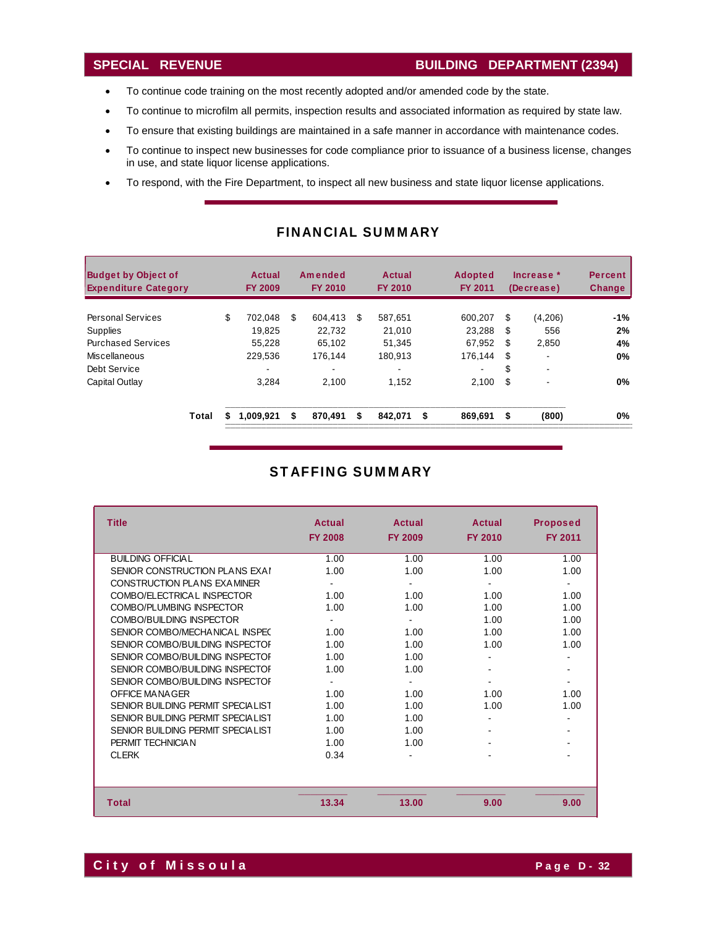- To continue code training on the most recently adopted and/or amended code by the state.
- To continue to microfilm all permits, inspection results and associated information as required by state law.
- To ensure that existing buildings are maintained in a safe manner in accordance with maintenance codes.
- To continue to inspect new businesses for code compliance prior to issuance of a business license, changes in use, and state liquor license applications.
- To respond, with the Fire Department, to inspect all new business and state liquor license applications.

| <b>Budget by Object of</b><br><b>Expenditure Category</b> |    | Actual<br><b>FY 2009</b> |    | Amended<br><b>FY 2010</b> |   | Actual<br><b>FY 2010</b> |    | <b>Adopted</b><br><b>FY 2011</b> | Increase *<br>(Decrease) |         | <b>Percent</b><br><b>Change</b> |
|-----------------------------------------------------------|----|--------------------------|----|---------------------------|---|--------------------------|----|----------------------------------|--------------------------|---------|---------------------------------|
| <b>Personal Services</b>                                  | \$ | 702.048                  | \$ | 604.413                   | S | 587.651                  |    | 600.207                          | \$                       | (4,206) | -1%                             |
| <b>Supplies</b>                                           |    | 19.825                   |    | 22.732                    |   | 21,010                   |    | 23.288                           | S                        | 556     | 2%                              |
| <b>Purchased Services</b>                                 |    | 55.228                   |    | 65.102                    |   | 51.345                   |    | 67.952                           | S                        | 2,850   | 4%                              |
| <b>Miscellaneous</b>                                      |    | 229,536                  |    | 176.144                   |   | 180.913                  |    | 176.144                          | S                        |         | 0%                              |
| Debt Service                                              |    | -                        |    |                           |   | $\blacksquare$           |    |                                  | S                        | ۰       |                                 |
| Capital Outlay                                            |    | 3.284                    |    | 2.100                     |   | 1.152                    |    | 2,100                            | S                        |         | 0%                              |
| Total                                                     | S  | 1.009.921                | \$ | 870.491                   | S | 842.071                  | \$ | 869,691                          | \$                       | (800)   | 0%                              |

### FINANCIAL SUMMARY

# STAFFING SUMMARY

| <b>Title</b>                      | Actual<br><b>FY 2008</b> | Actual<br><b>FY 2009</b> | Actual<br><b>FY 2010</b> | <b>Proposed</b><br><b>FY 2011</b> |
|-----------------------------------|--------------------------|--------------------------|--------------------------|-----------------------------------|
| <b>BUILDING OFFICIAL</b>          | 1.00                     | 1.00                     | 1.00                     | 1.00                              |
| SENIOR CONSTRUCTION PLANS EXAI    | 1.00                     | 1.00                     | 1.00                     | 1.00                              |
| CONSTRUCTION PLANS EXAMINER       |                          |                          |                          | $\blacksquare$                    |
| COMBO/ELECTRICAL INSPECTOR        | 1.00                     | 1.00                     | 1.00                     | 1.00                              |
| COMBO/PLUMBING INSPECTOR          | 1.00                     | 1.00                     | 1.00                     | 1.00                              |
| COMBO/BUILDING INSPECTOR          |                          |                          | 1.00                     | 1.00                              |
| SENIOR COMBO/MECHANICAL INSPEC    | 1.00                     | 1.00                     | 1.00                     | 1.00                              |
| SENIOR COMBO/BUILDING INSPECTOR   | 1.00                     | 1.00                     | 1.00                     | 1.00                              |
| SENIOR COMBO/BUILDING INSPECTOR   | 1.00                     | 1.00                     |                          |                                   |
| SENIOR COMBO/BUILDING INSPECTOR   | 1.00                     | 1.00                     |                          |                                   |
| SENIOR COMBO/BUILDING INSPECTOR   |                          |                          |                          | ٠                                 |
| OFFICE MANAGER                    | 1.00                     | 1.00                     | 1.00                     | 1.00                              |
| SENIOR BUILDING PERMIT SPECIALIST | 1.00                     | 1.00                     | 1.00                     | 1.00                              |
| SENIOR BUILDING PERMIT SPECIALIST | 1.00                     | 1.00                     |                          |                                   |
| SENIOR BUILDING PERMIT SPECIALIST | 1.00                     | 1.00                     |                          | $\blacksquare$                    |
| PERMIT TECHNICIAN                 | 1.00                     | 1.00                     |                          |                                   |
| <b>CLERK</b>                      | 0.34                     |                          |                          |                                   |
|                                   |                          |                          |                          |                                   |
| <b>Total</b>                      | 13.34                    | 13.00                    | 9.00                     | 9.00                              |